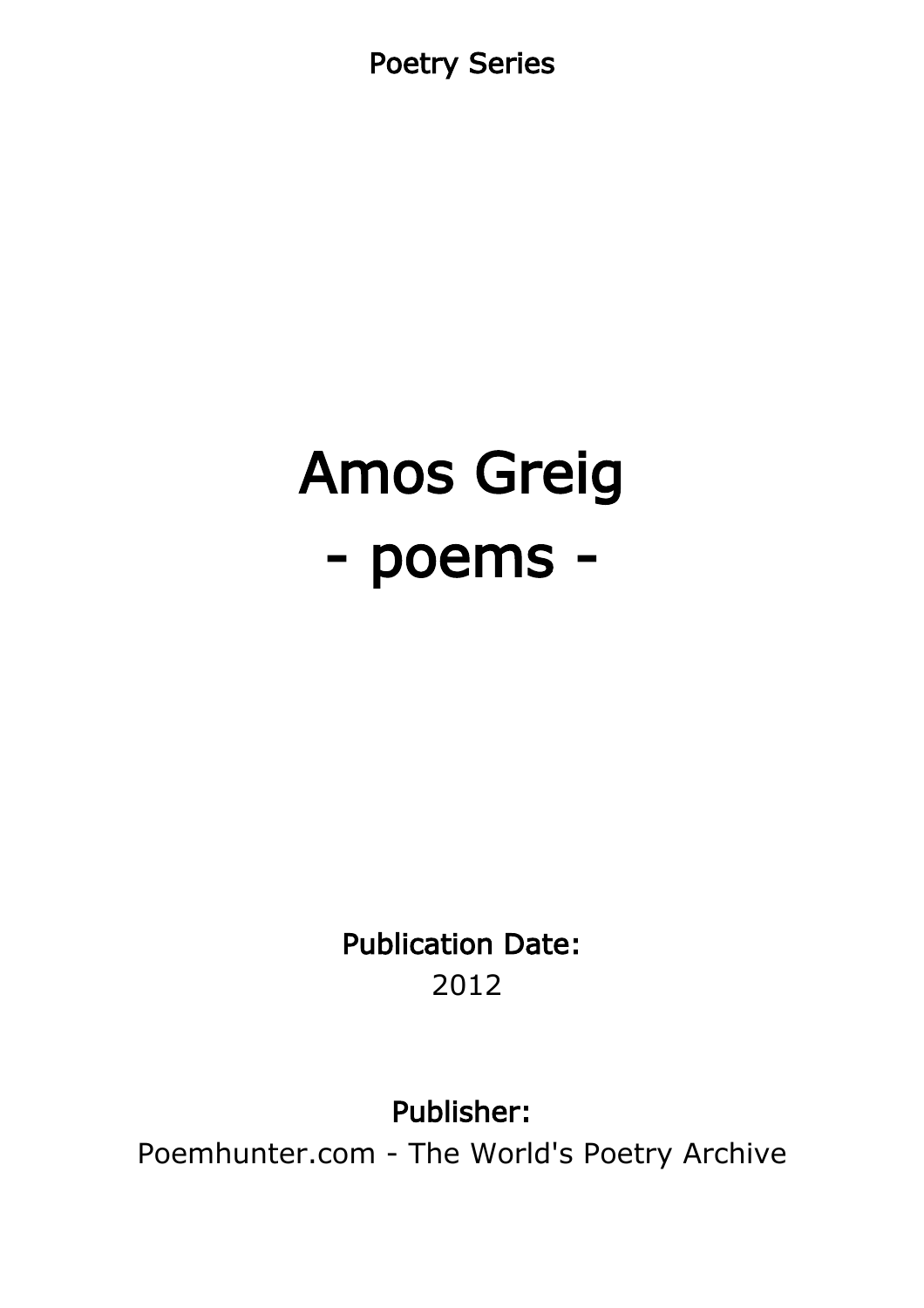Poetry Series

# Amos Greig - poems -

Publication Date: 2012

Publisher:

Poemhunter.com - The World's Poetry Archive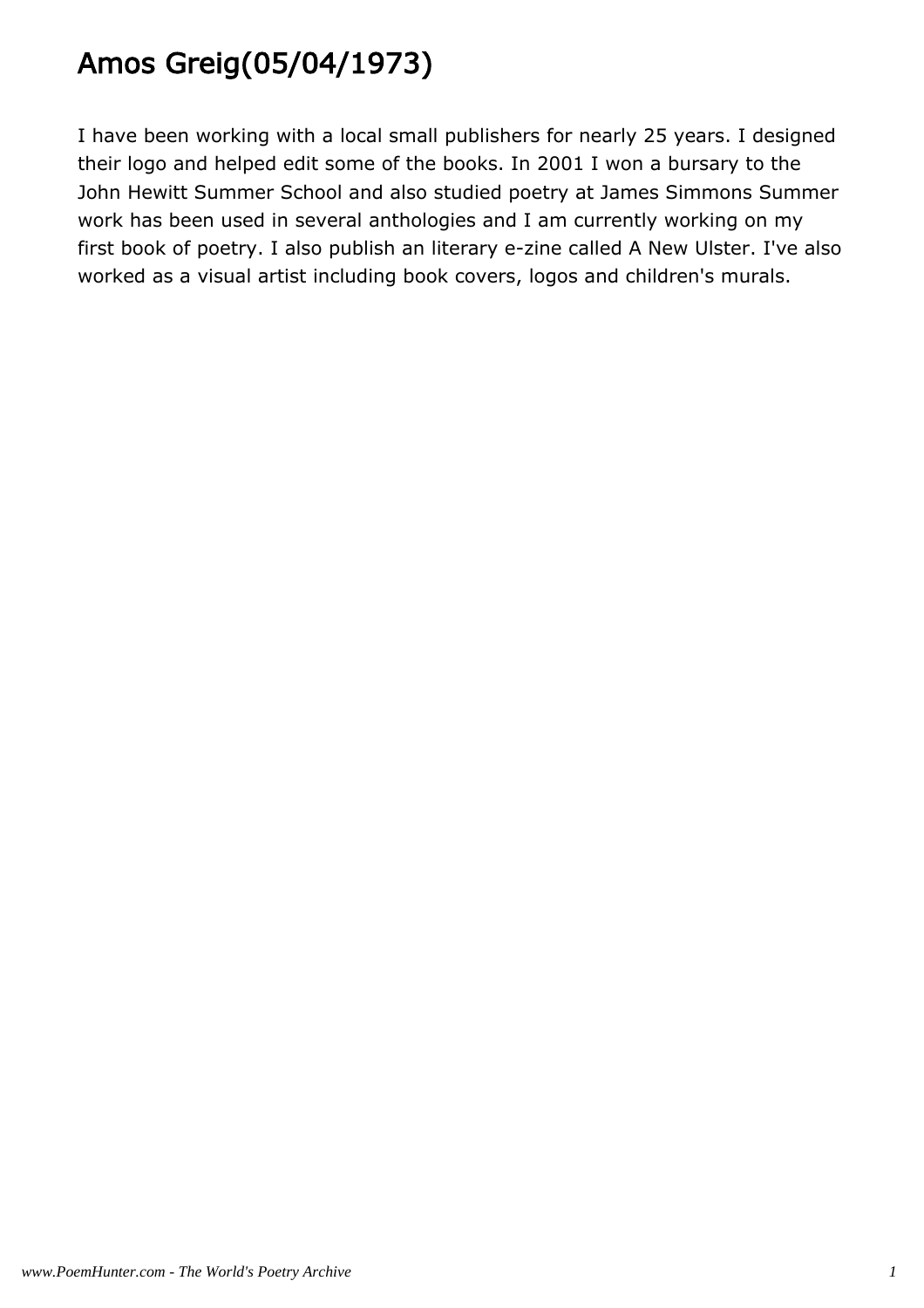# Amos Greig(05/04/1973)

I have been working with a local small publishers for nearly 25 years. I designed their logo and helped edit some of the books. In 2001 I won a bursary to the John Hewitt Summer School and also studied poetry at James Simmons Summer work has been used in several anthologies and I am currently working on my first book of poetry. I also publish an literary e-zine called A New Ulster. I've also worked as a visual artist including book covers, logos and children's murals.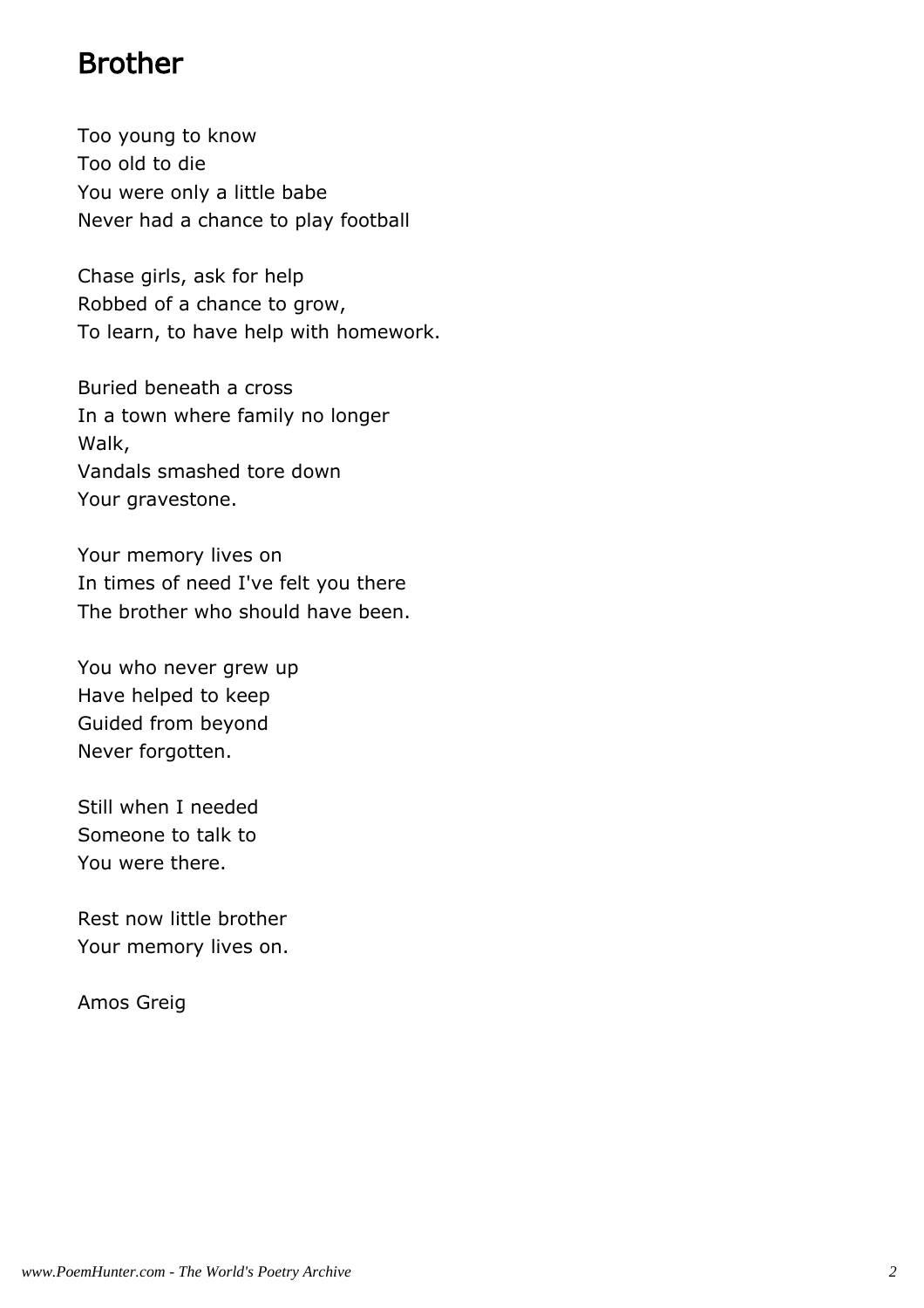#### Brother

Too young to know Too old to die You were only a little babe Never had a chance to play football

Chase girls, ask for help Robbed of a chance to grow, To learn, to have help with homework.

Buried beneath a cross In a town where family no longer Walk, Vandals smashed tore down Your gravestone.

Your memory lives on In times of need I've felt you there The brother who should have been.

You who never grew up Have helped to keep Guided from beyond Never forgotten.

Still when I needed Someone to talk to You were there.

Rest now little brother Your memory lives on.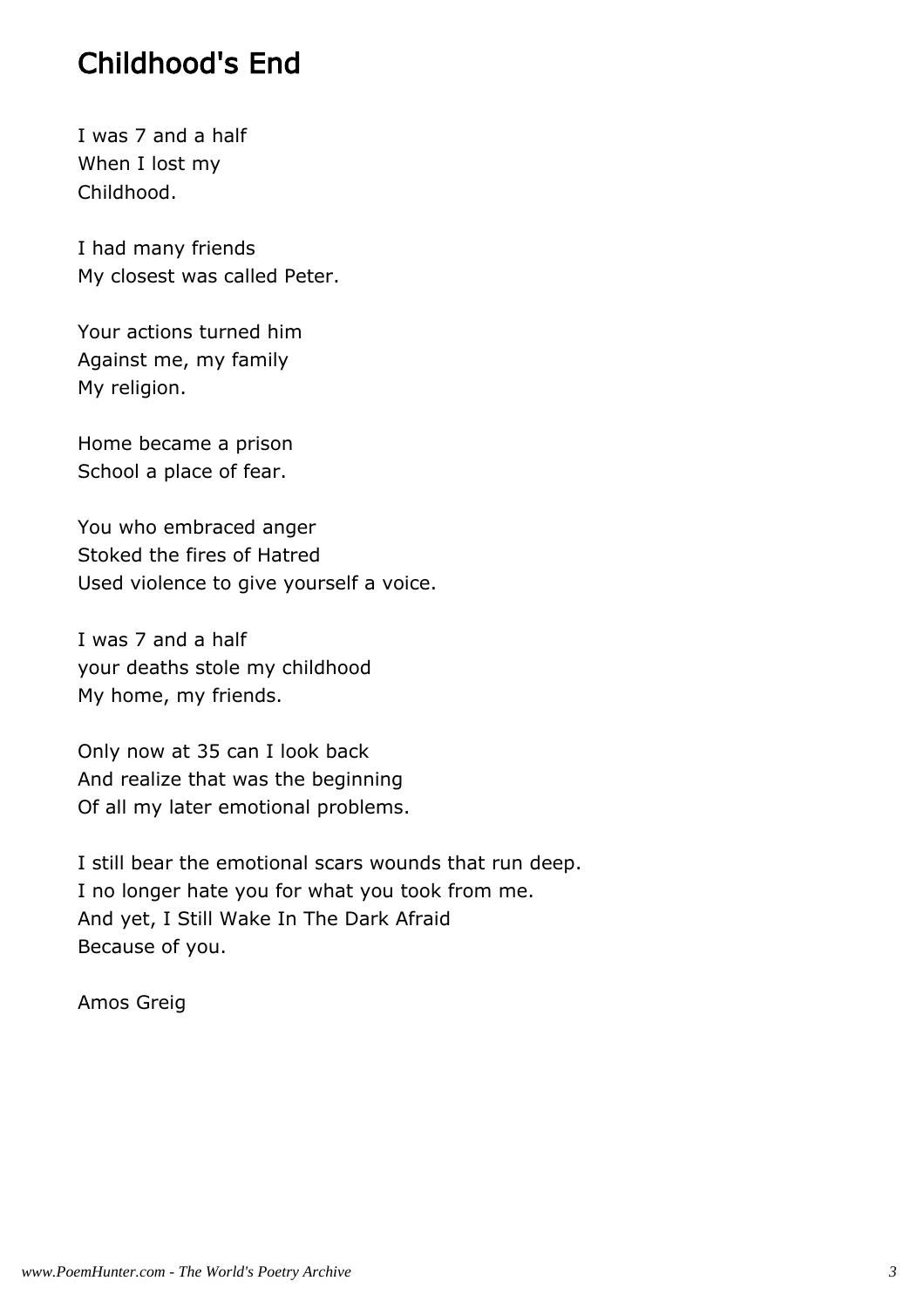#### Childhood's End

I was 7 and a half When I lost my Childhood.

I had many friends My closest was called Peter.

Your actions turned him Against me, my family My religion.

Home became a prison School a place of fear.

You who embraced anger Stoked the fires of Hatred Used violence to give yourself a voice.

I was 7 and a half your deaths stole my childhood My home, my friends.

Only now at 35 can I look back And realize that was the beginning Of all my later emotional problems.

I still bear the emotional scars wounds that run deep. I no longer hate you for what you took from me. And yet, I Still Wake In The Dark Afraid Because of you.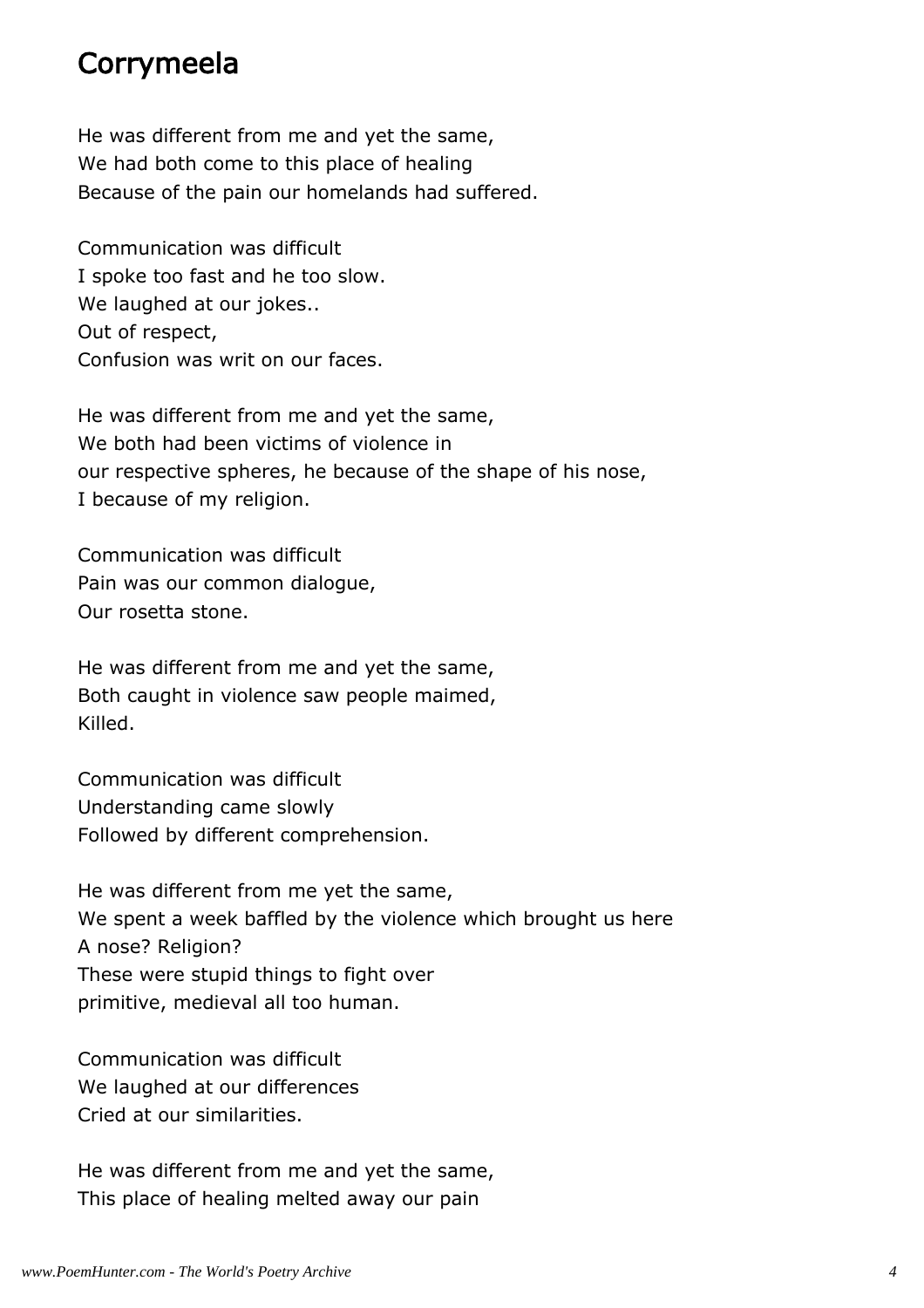#### Corrymeela

He was different from me and yet the same, We had both come to this place of healing Because of the pain our homelands had suffered.

Communication was difficult I spoke too fast and he too slow. We laughed at our jokes.. Out of respect, Confusion was writ on our faces.

He was different from me and yet the same, We both had been victims of violence in our respective spheres, he because of the shape of his nose, I because of my religion.

Communication was difficult Pain was our common dialogue, Our rosetta stone.

He was different from me and yet the same, Both caught in violence saw people maimed, Killed.

Communication was difficult Understanding came slowly Followed by different comprehension.

He was different from me yet the same, We spent a week baffled by the violence which brought us here A nose? Religion? These were stupid things to fight over primitive, medieval all too human.

Communication was difficult We laughed at our differences Cried at our similarities.

He was different from me and yet the same, This place of healing melted away our pain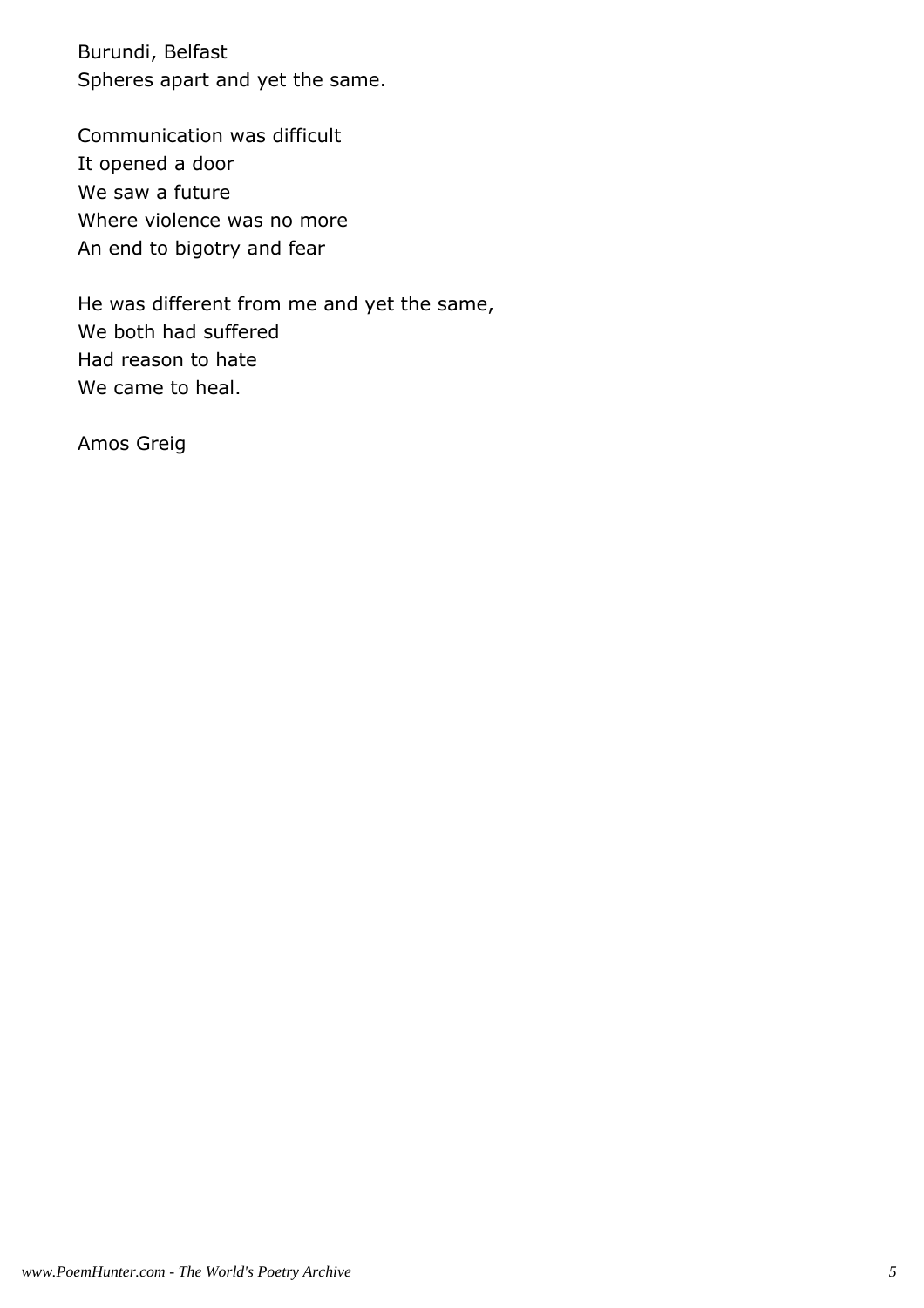Burundi, Belfast Spheres apart and yet the same.

Communication was difficult It opened a door We saw a future Where violence was no more An end to bigotry and fear

He was different from me and yet the same, We both had suffered Had reason to hate We came to heal.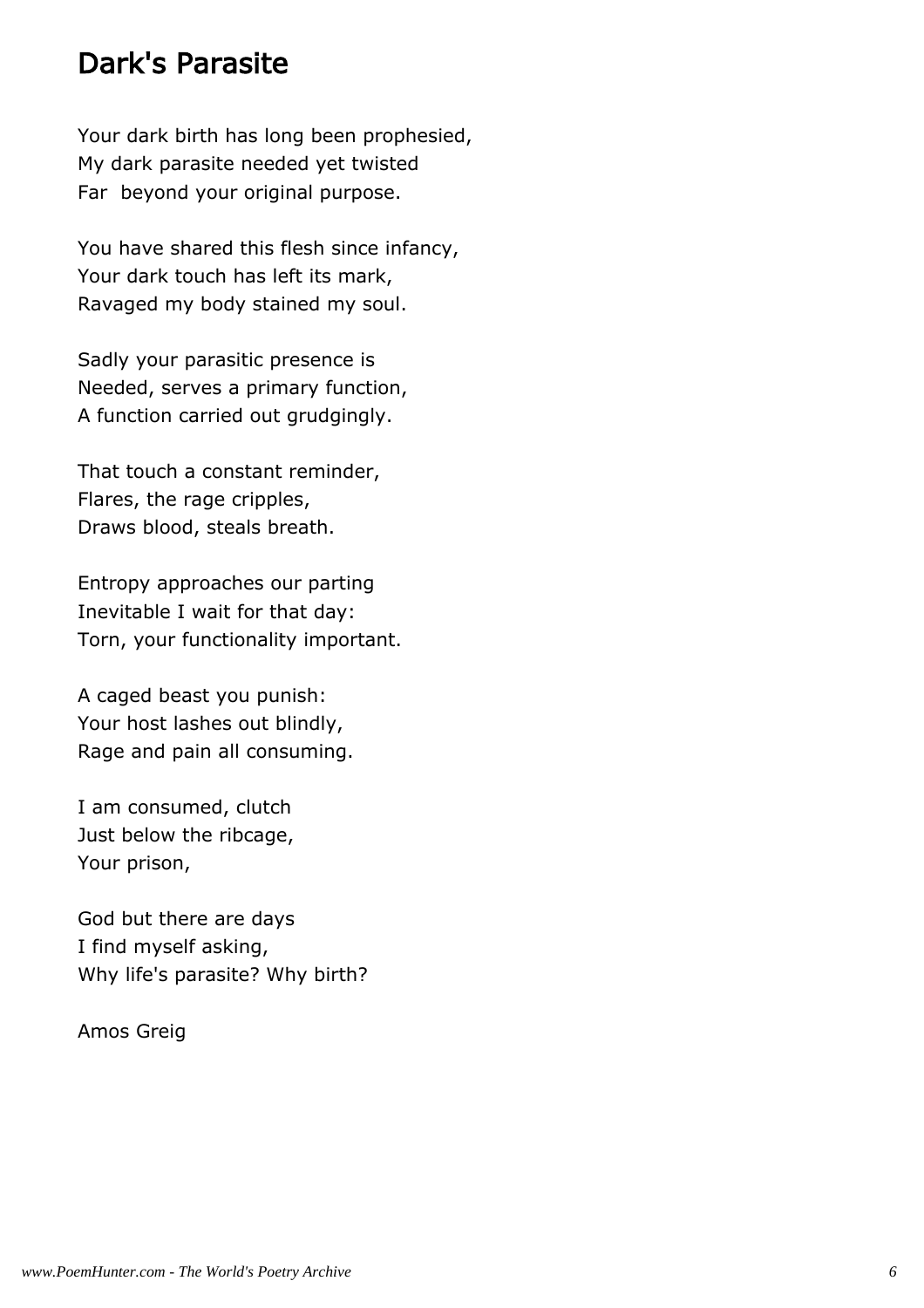#### Dark's Parasite

Your dark birth has long been prophesied, My dark parasite needed yet twisted Far beyond your original purpose.

You have shared this flesh since infancy, Your dark touch has left its mark, Ravaged my body stained my soul.

Sadly your parasitic presence is Needed, serves a primary function, A function carried out grudgingly.

That touch a constant reminder, Flares, the rage cripples, Draws blood, steals breath.

Entropy approaches our parting Inevitable I wait for that day: Torn, your functionality important.

A caged beast you punish: Your host lashes out blindly, Rage and pain all consuming.

I am consumed, clutch Just below the ribcage, Your prison,

God but there are days I find myself asking, Why life's parasite? Why birth?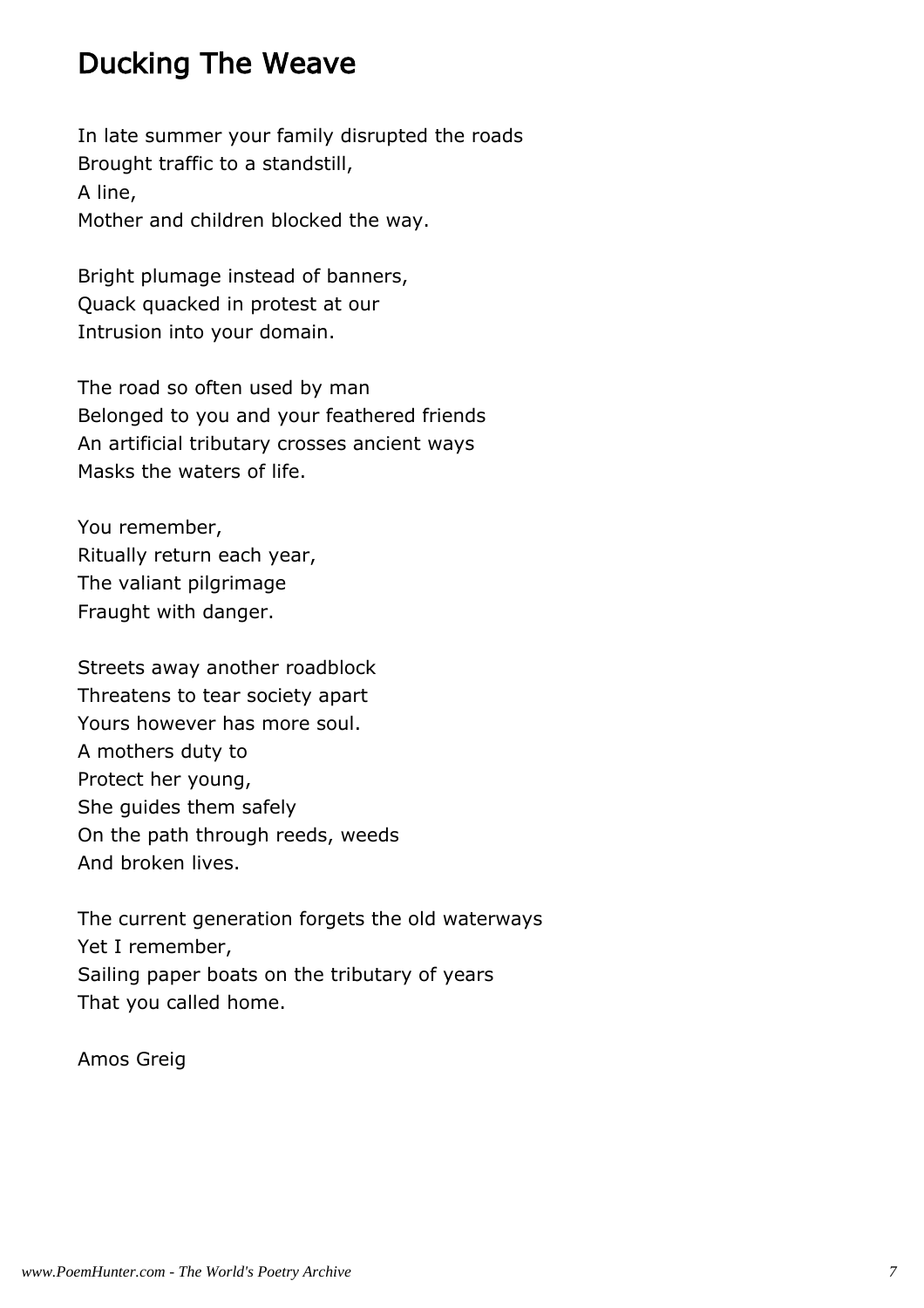# Ducking The Weave

In late summer your family disrupted the roads Brought traffic to a standstill, A line, Mother and children blocked the way.

Bright plumage instead of banners, Quack quacked in protest at our Intrusion into your domain.

The road so often used by man Belonged to you and your feathered friends An artificial tributary crosses ancient ways Masks the waters of life.

You remember, Ritually return each year, The valiant pilgrimage Fraught with danger.

Streets away another roadblock Threatens to tear society apart Yours however has more soul. A mothers duty to Protect her young, She guides them safely On the path through reeds, weeds And broken lives.

The current generation forgets the old waterways Yet I remember, Sailing paper boats on the tributary of years That you called home.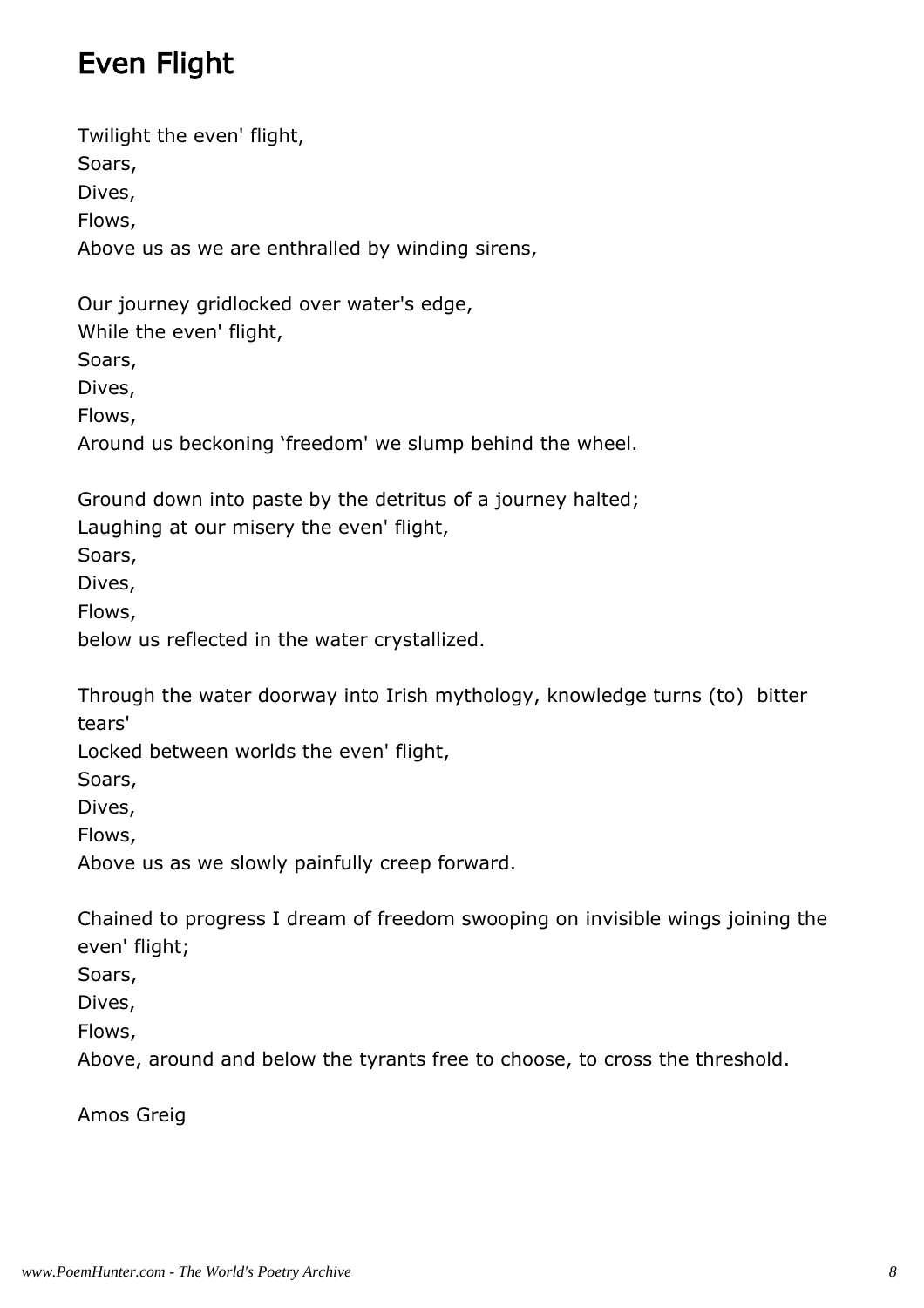# Even Flight

Twilight the even' flight, Soars, Dives, Flows, Above us as we are enthralled by winding sirens,

Our journey gridlocked over water's edge, While the even' flight, Soars, Dives, Flows, Around us beckoning 'freedom' we slump behind the wheel.

Ground down into paste by the detritus of a journey halted; Laughing at our misery the even' flight,

Soars,

Dives,

Flows,

below us reflected in the water crystallized.

Through the water doorway into Irish mythology, knowledge turns (to) bitter tears'

Locked between worlds the even' flight,

Soars,

Dives,

Flows,

Above us as we slowly painfully creep forward.

Chained to progress I dream of freedom swooping on invisible wings joining the even' flight;

Soars,

Dives,

Flows,

Above, around and below the tyrants free to choose, to cross the threshold.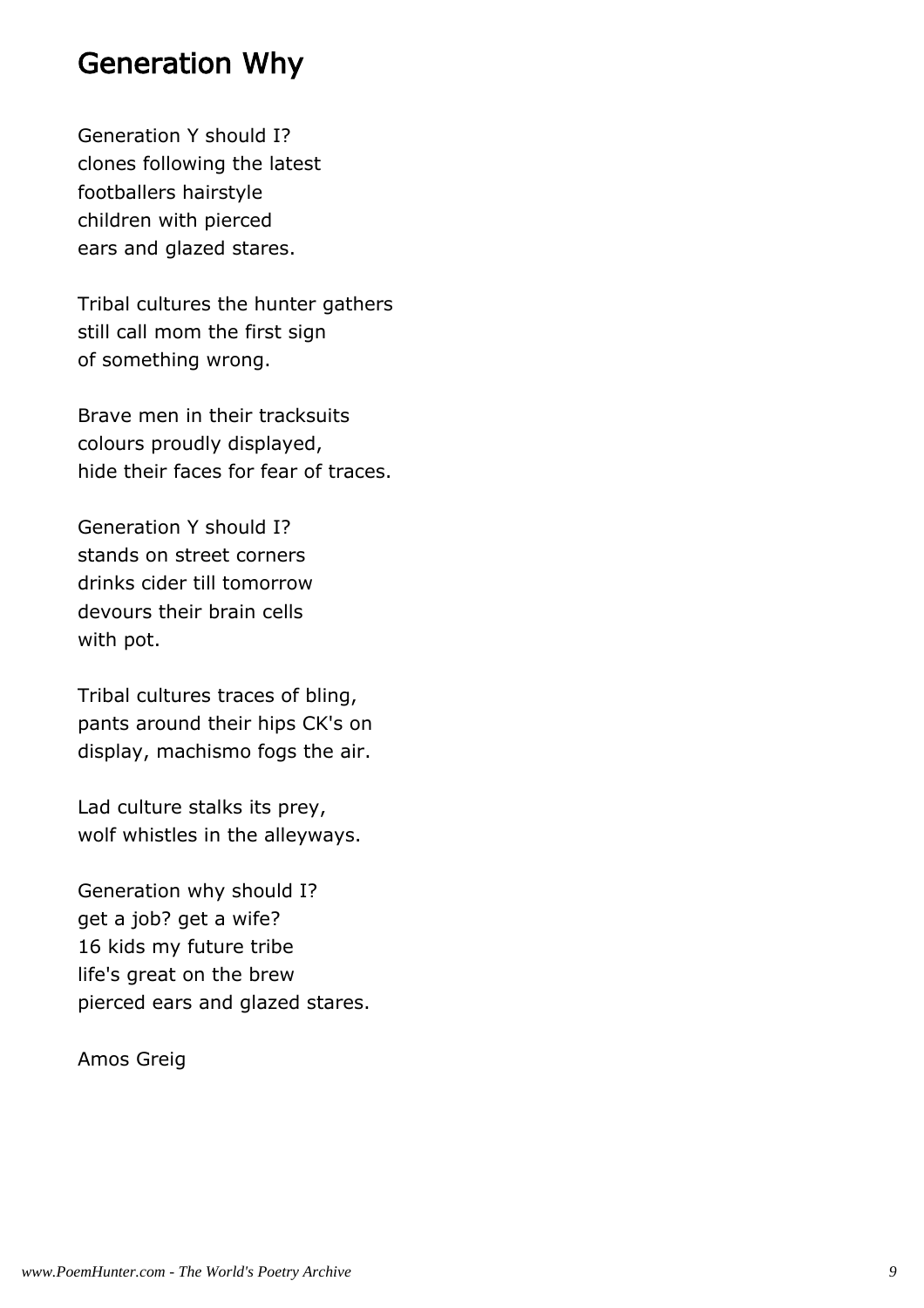#### Generation Why

Generation Y should I? clones following the latest footballers hairstyle children with pierced ears and glazed stares.

Tribal cultures the hunter gathers still call mom the first sign of something wrong.

Brave men in their tracksuits colours proudly displayed, hide their faces for fear of traces.

Generation Y should I? stands on street corners drinks cider till tomorrow devours their brain cells with pot.

Tribal cultures traces of bling, pants around their hips CK's on display, machismo fogs the air.

Lad culture stalks its prey, wolf whistles in the alleyways.

Generation why should I? get a job? get a wife? 16 kids my future tribe life's great on the brew pierced ears and glazed stares.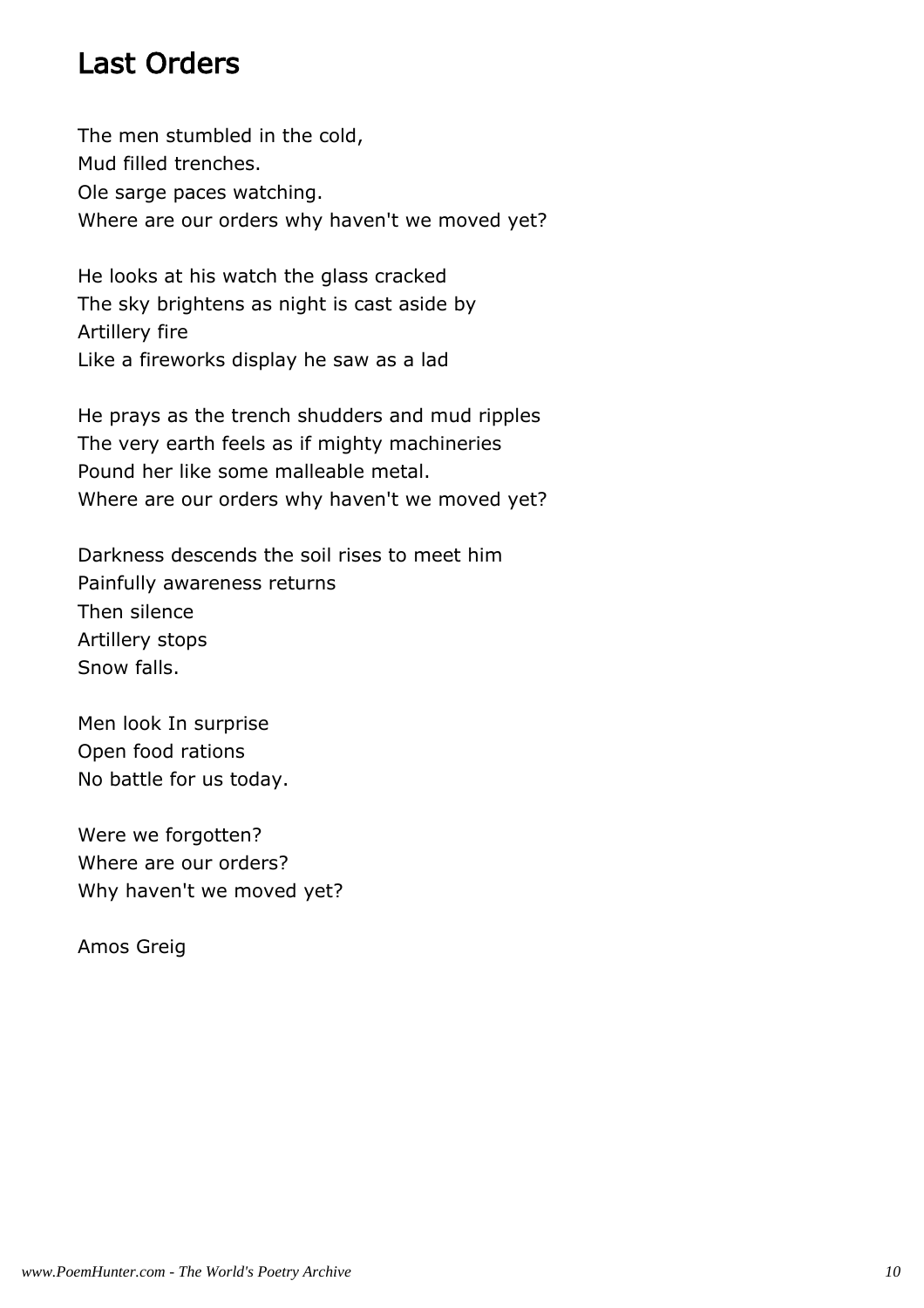### Last Orders

The men stumbled in the cold, Mud filled trenches. Ole sarge paces watching. Where are our orders why haven't we moved yet?

He looks at his watch the glass cracked The sky brightens as night is cast aside by Artillery fire Like a fireworks display he saw as a lad

He prays as the trench shudders and mud ripples The very earth feels as if mighty machineries Pound her like some malleable metal. Where are our orders why haven't we moved yet?

Darkness descends the soil rises to meet him Painfully awareness returns Then silence Artillery stops Snow falls.

Men look In surprise Open food rations No battle for us today.

Were we forgotten? Where are our orders? Why haven't we moved yet?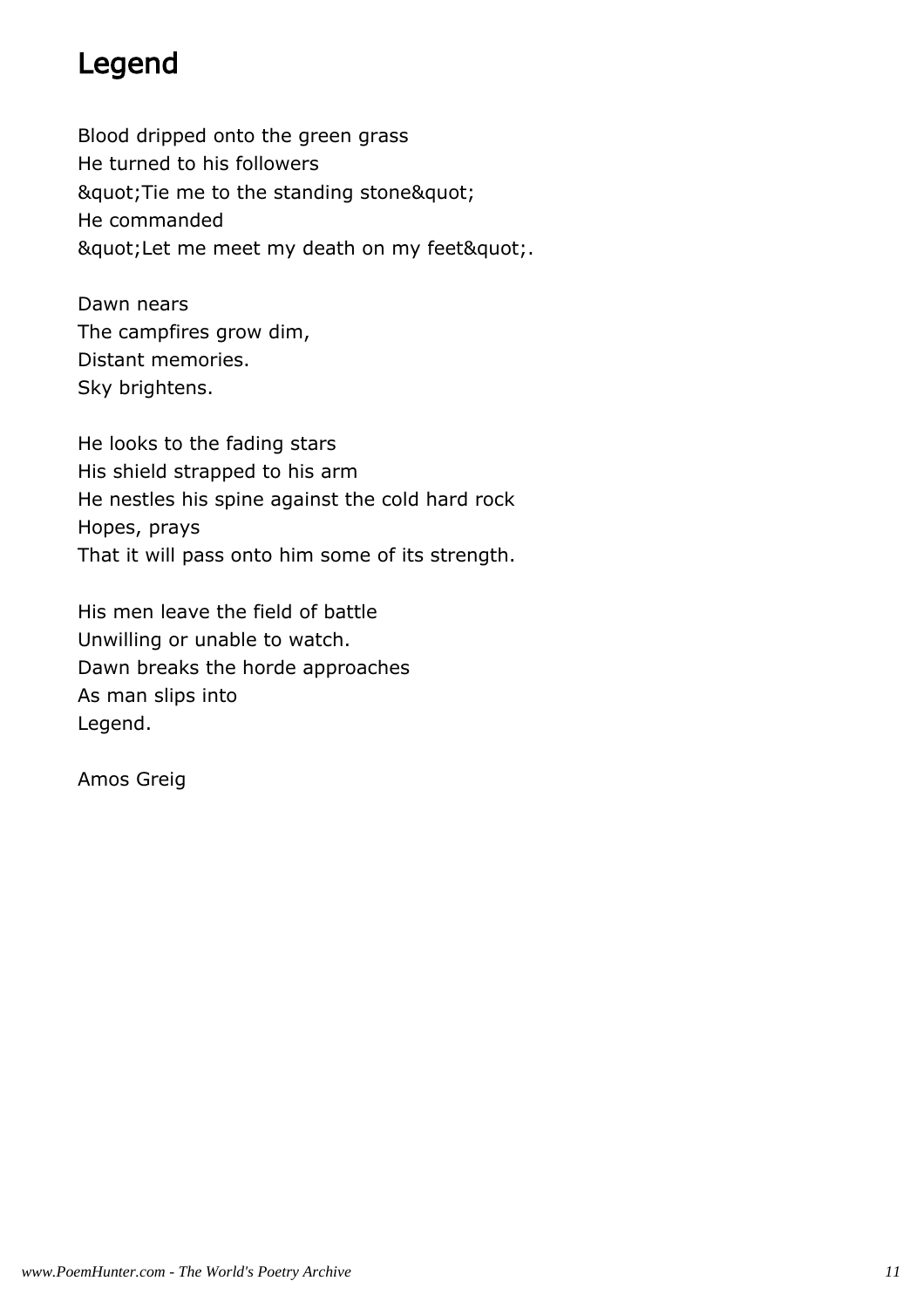### Legend

Blood dripped onto the green grass He turned to his followers " Tie me to the standing stone" He commanded " Let me meet my death on my feet".

Dawn nears The campfires grow dim, Distant memories. Sky brightens.

He looks to the fading stars His shield strapped to his arm He nestles his spine against the cold hard rock Hopes, prays That it will pass onto him some of its strength.

His men leave the field of battle Unwilling or unable to watch. Dawn breaks the horde approaches As man slips into Legend.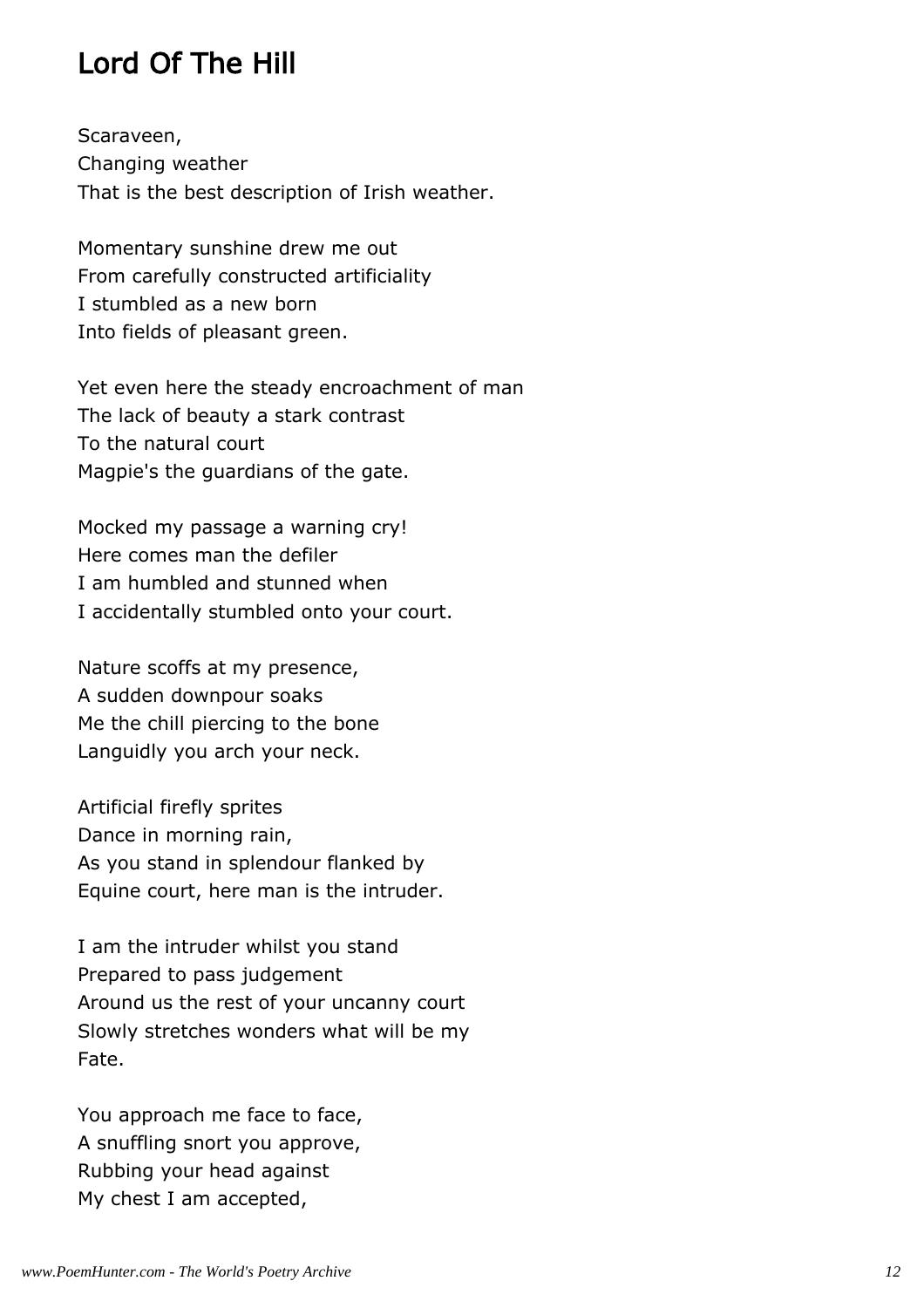# Lord Of The Hill

Scaraveen, Changing weather That is the best description of Irish weather.

Momentary sunshine drew me out From carefully constructed artificiality I stumbled as a new born Into fields of pleasant green.

Yet even here the steady encroachment of man The lack of beauty a stark contrast To the natural court Magpie's the guardians of the gate.

Mocked my passage a warning cry! Here comes man the defiler I am humbled and stunned when I accidentally stumbled onto your court.

Nature scoffs at my presence, A sudden downpour soaks Me the chill piercing to the bone Languidly you arch your neck.

Artificial firefly sprites Dance in morning rain, As you stand in splendour flanked by Equine court, here man is the intruder.

I am the intruder whilst you stand Prepared to pass judgement Around us the rest of your uncanny court Slowly stretches wonders what will be my Fate.

You approach me face to face, A snuffling snort you approve, Rubbing your head against My chest I am accepted,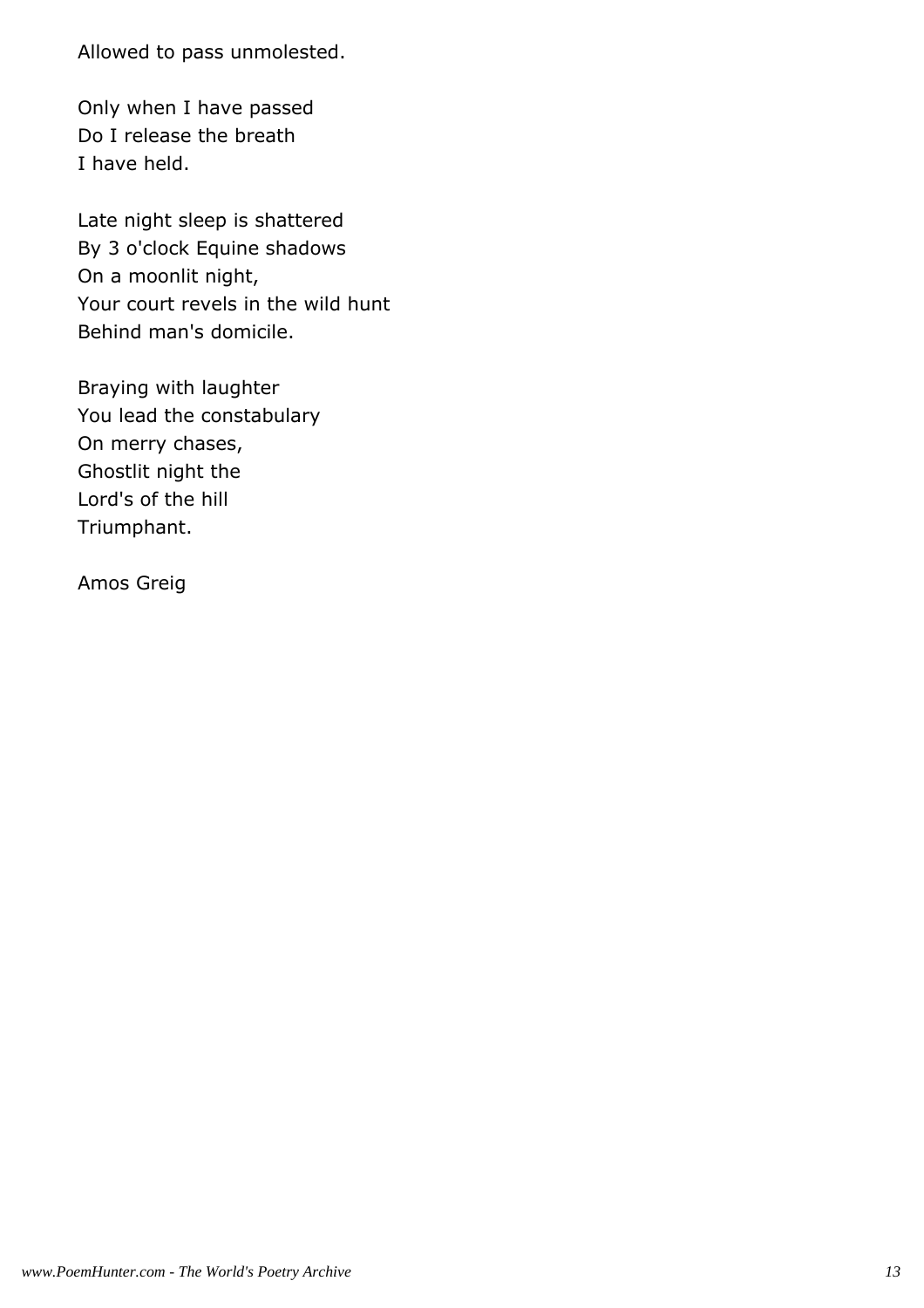Allowed to pass unmolested.

Only when I have passed Do I release the breath I have held.

Late night sleep is shattered By 3 o'clock Equine shadows On a moonlit night, Your court revels in the wild hunt Behind man's domicile.

Braying with laughter You lead the constabulary On merry chases, Ghostlit night the Lord's of the hill Triumphant.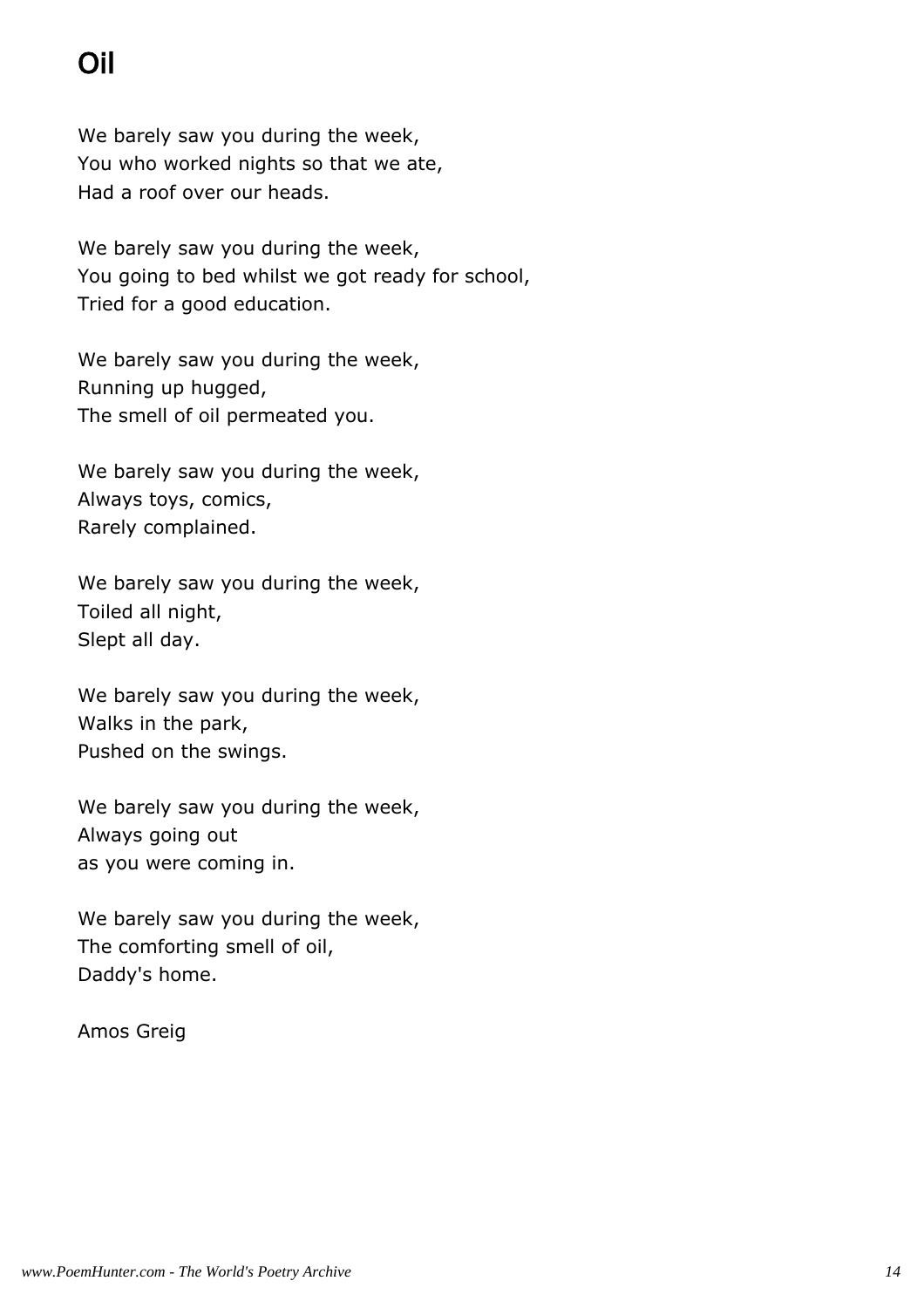# Oil

We barely saw you during the week, You who worked nights so that we ate, Had a roof over our heads.

We barely saw you during the week, You going to bed whilst we got ready for school, Tried for a good education.

We barely saw you during the week, Running up hugged, The smell of oil permeated you.

We barely saw you during the week, Always toys, comics, Rarely complained.

We barely saw you during the week, Toiled all night, Slept all day.

We barely saw you during the week, Walks in the park, Pushed on the swings.

We barely saw you during the week, Always going out as you were coming in.

We barely saw you during the week, The comforting smell of oil, Daddy's home.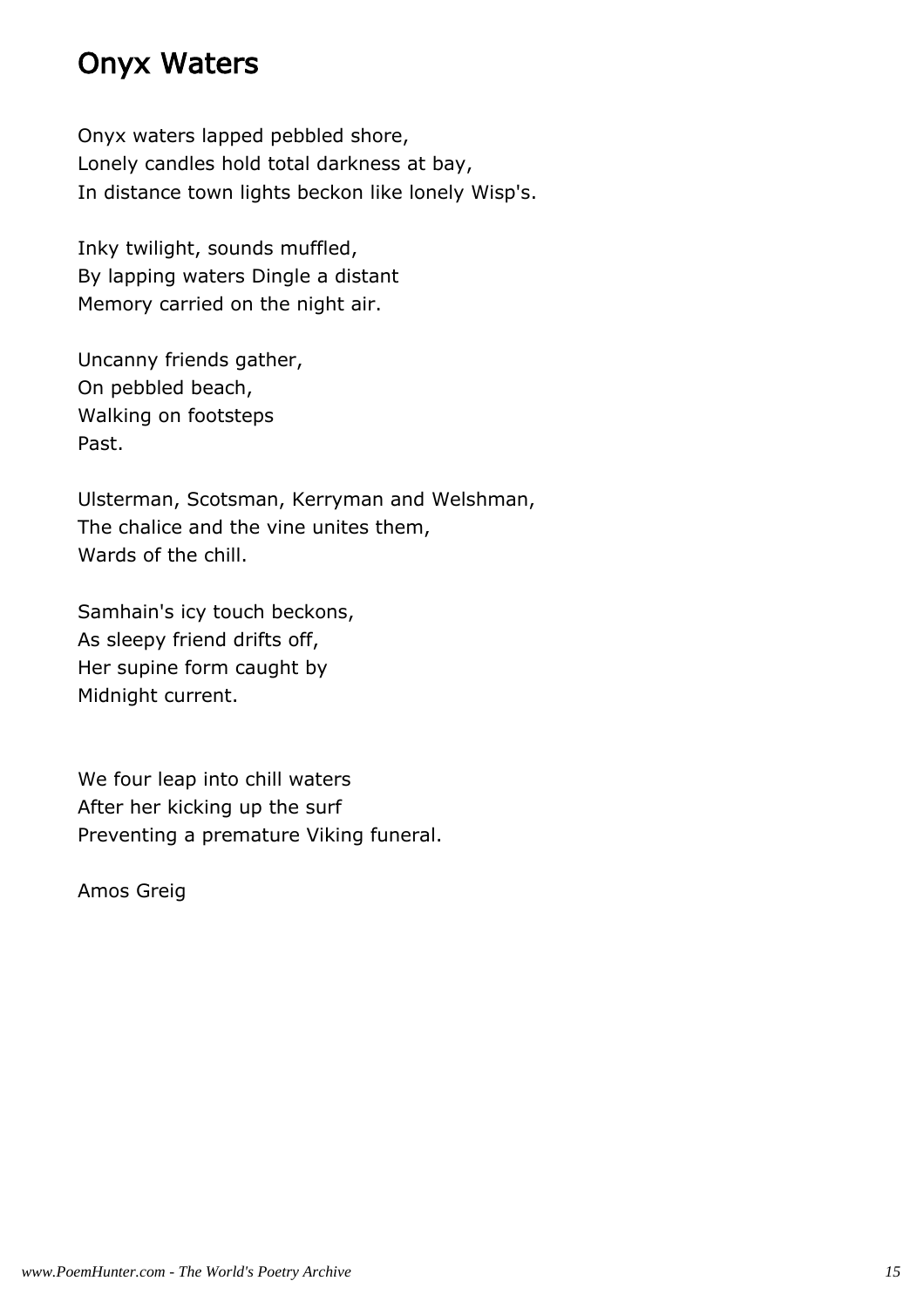#### Onyx Waters

Onyx waters lapped pebbled shore, Lonely candles hold total darkness at bay, In distance town lights beckon like lonely Wisp's.

Inky twilight, sounds muffled, By lapping waters Dingle a distant Memory carried on the night air.

Uncanny friends gather, On pebbled beach, Walking on footsteps Past.

Ulsterman, Scotsman, Kerryman and Welshman, The chalice and the vine unites them, Wards of the chill.

Samhain's icy touch beckons, As sleepy friend drifts off, Her supine form caught by Midnight current.

We four leap into chill waters After her kicking up the surf Preventing a premature Viking funeral.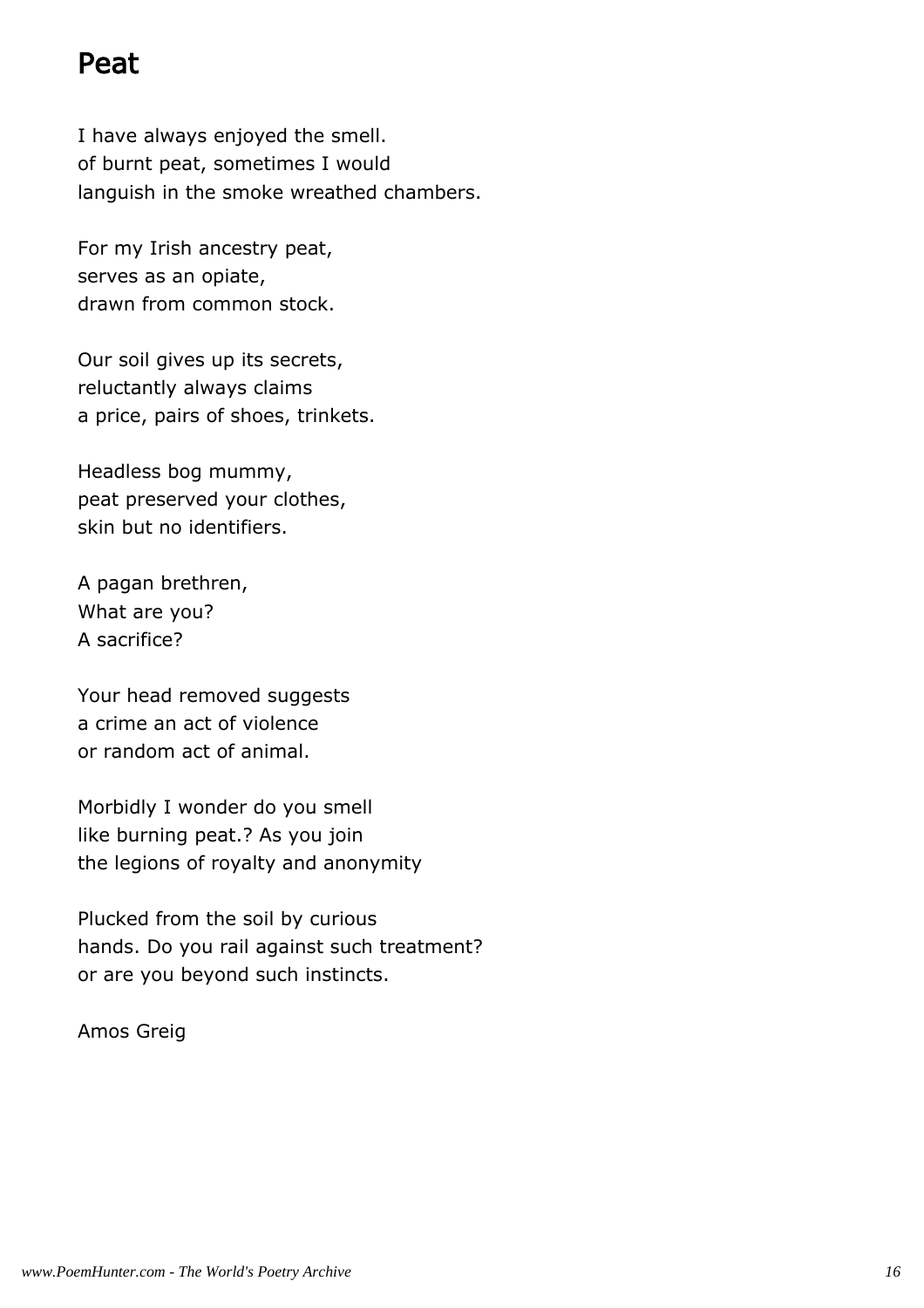#### Peat

I have always enjoyed the smell. of burnt peat, sometimes I would languish in the smoke wreathed chambers.

For my Irish ancestry peat, serves as an opiate, drawn from common stock.

Our soil gives up its secrets, reluctantly always claims a price, pairs of shoes, trinkets.

Headless bog mummy, peat preserved your clothes, skin but no identifiers.

A pagan brethren, What are you? A sacrifice?

Your head removed suggests a crime an act of violence or random act of animal.

Morbidly I wonder do you smell like burning peat.? As you join the legions of royalty and anonymity

Plucked from the soil by curious hands. Do you rail against such treatment? or are you beyond such instincts.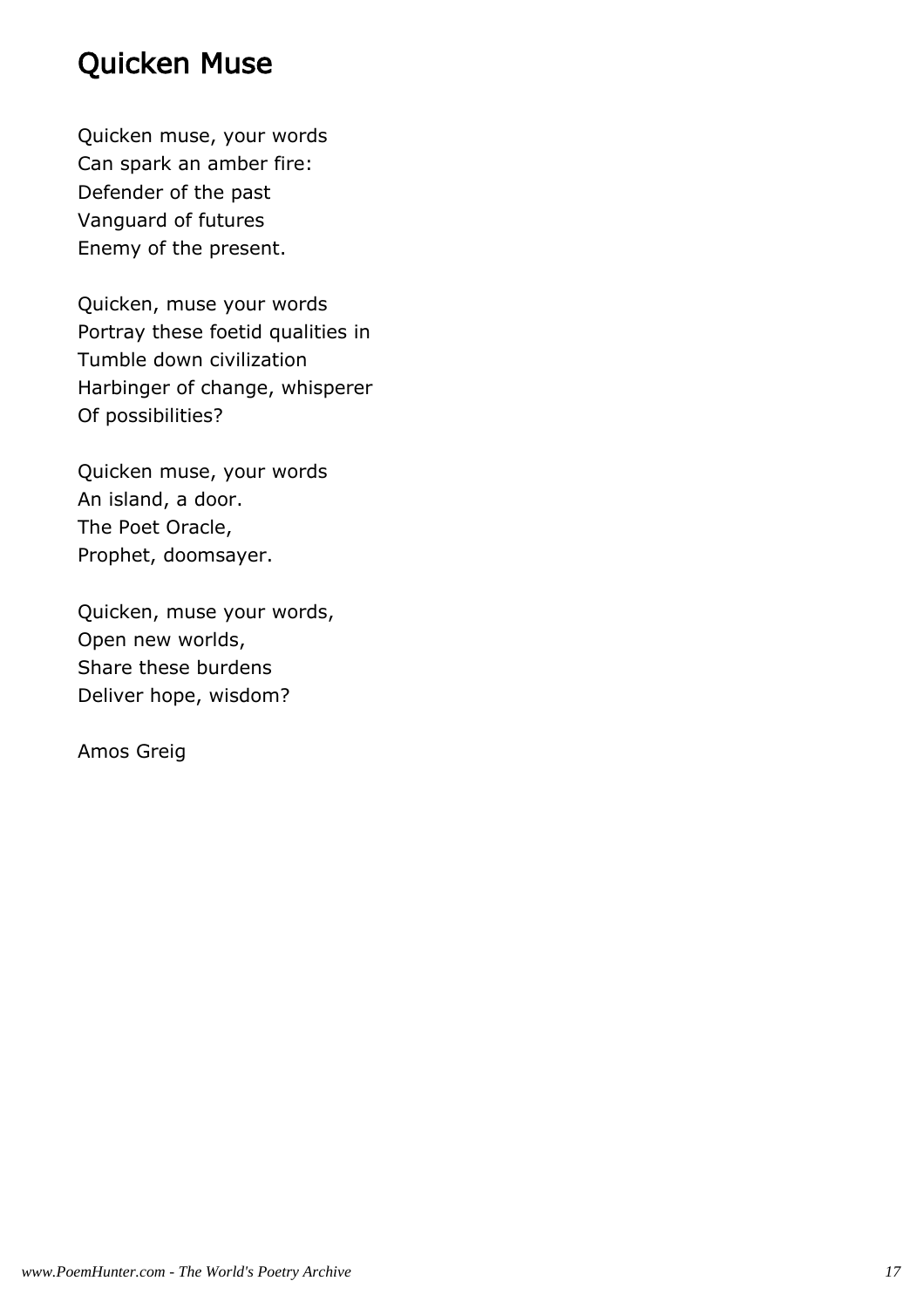### Quicken Muse

Quicken muse, your words Can spark an amber fire: Defender of the past Vanguard of futures Enemy of the present.

Quicken, muse your words Portray these foetid qualities in Tumble down civilization Harbinger of change, whisperer Of possibilities?

Quicken muse, your words An island, a door. The Poet Oracle, Prophet, doomsayer.

Quicken, muse your words, Open new worlds, Share these burdens Deliver hope, wisdom?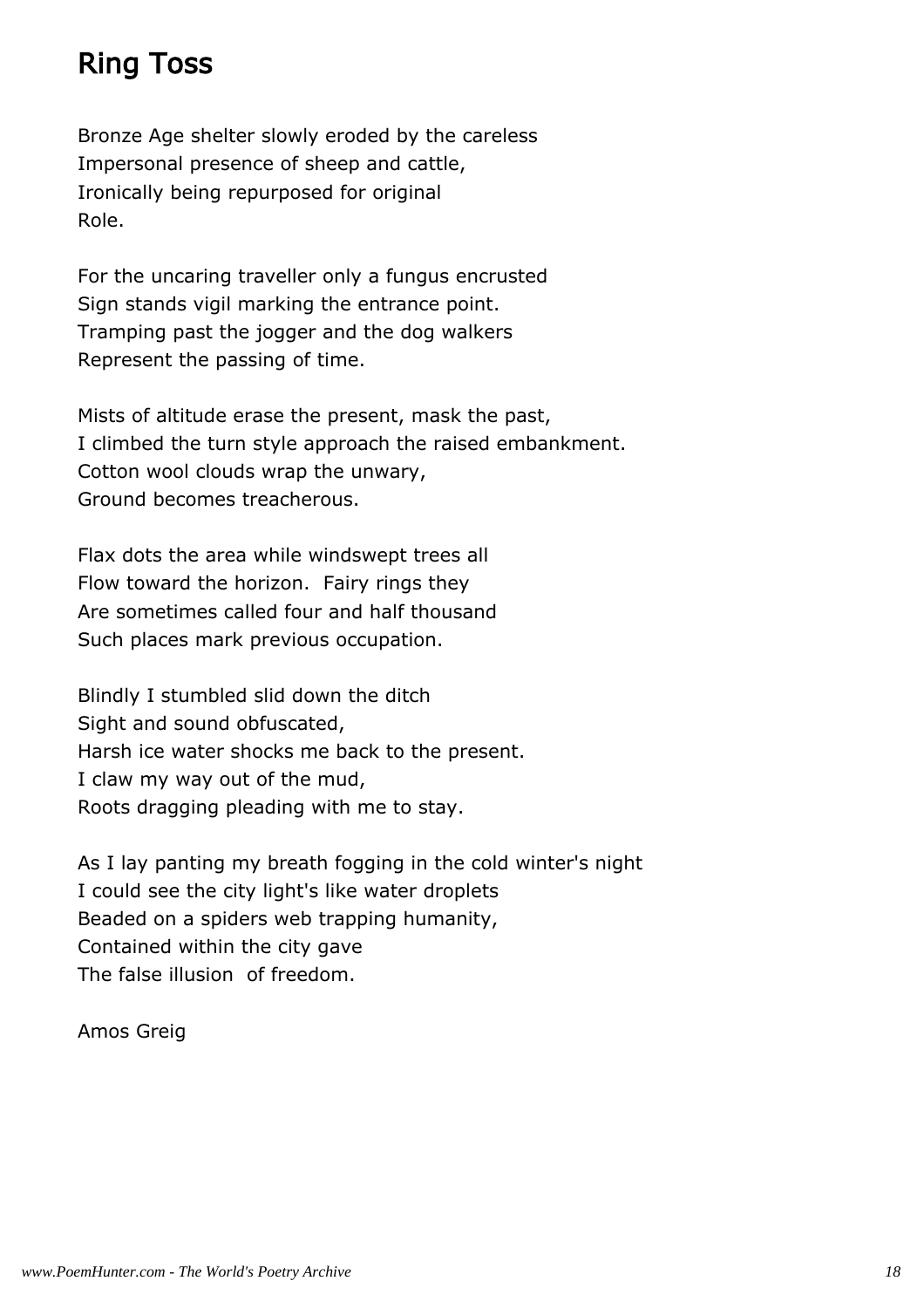# Ring Toss

Bronze Age shelter slowly eroded by the careless Impersonal presence of sheep and cattle, Ironically being repurposed for original Role.

For the uncaring traveller only a fungus encrusted Sign stands vigil marking the entrance point. Tramping past the jogger and the dog walkers Represent the passing of time.

Mists of altitude erase the present, mask the past, I climbed the turn style approach the raised embankment. Cotton wool clouds wrap the unwary, Ground becomes treacherous.

Flax dots the area while windswept trees all Flow toward the horizon. Fairy rings they Are sometimes called four and half thousand Such places mark previous occupation.

Blindly I stumbled slid down the ditch Sight and sound obfuscated, Harsh ice water shocks me back to the present. I claw my way out of the mud, Roots dragging pleading with me to stay.

As I lay panting my breath fogging in the cold winter's night I could see the city light's like water droplets Beaded on a spiders web trapping humanity, Contained within the city gave The false illusion of freedom.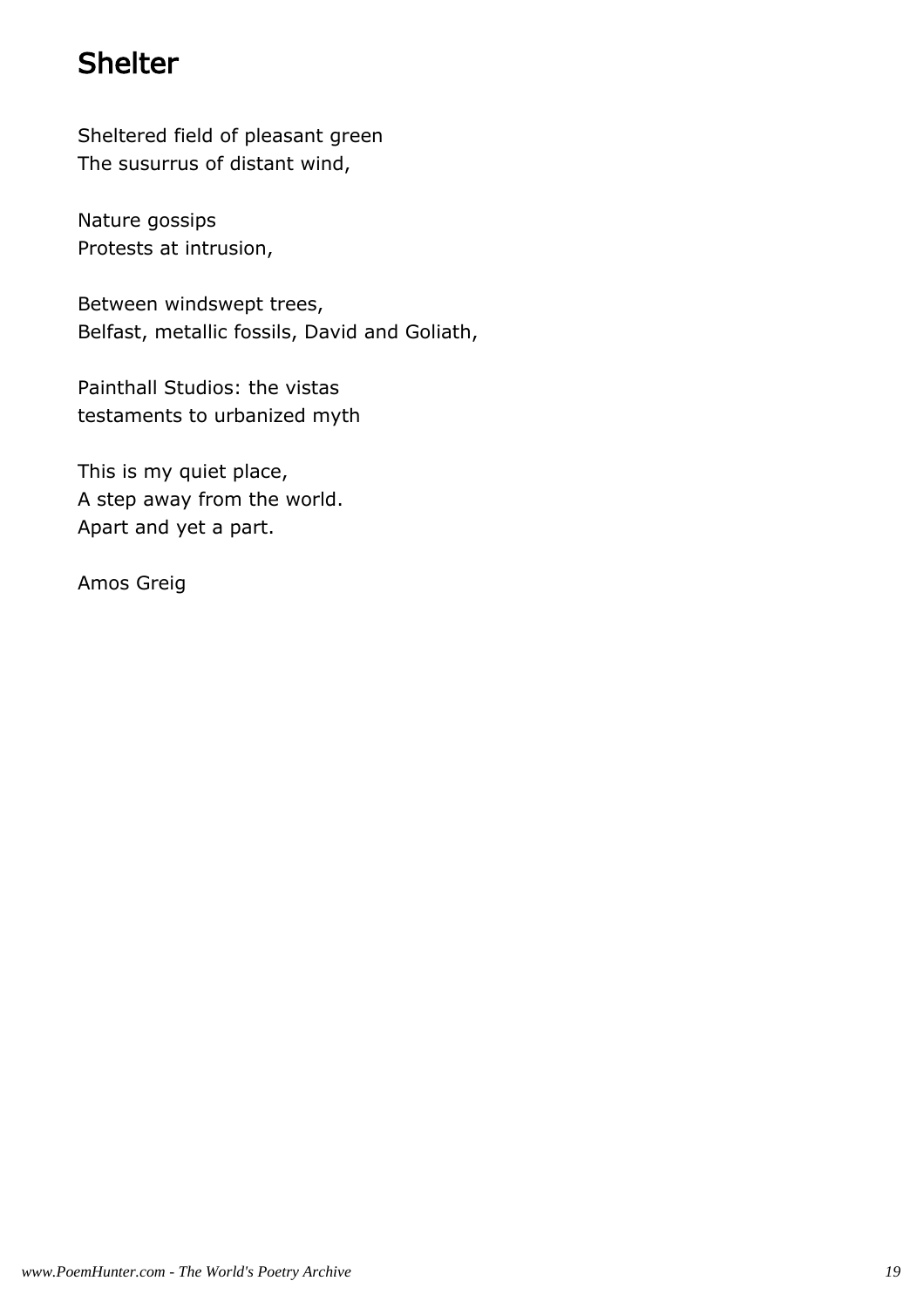# Shelter

Sheltered field of pleasant green The susurrus of distant wind,

Nature gossips Protests at intrusion,

Between windswept trees, Belfast, metallic fossils, David and Goliath,

Painthall Studios: the vistas testaments to urbanized myth

This is my quiet place, A step away from the world. Apart and yet a part.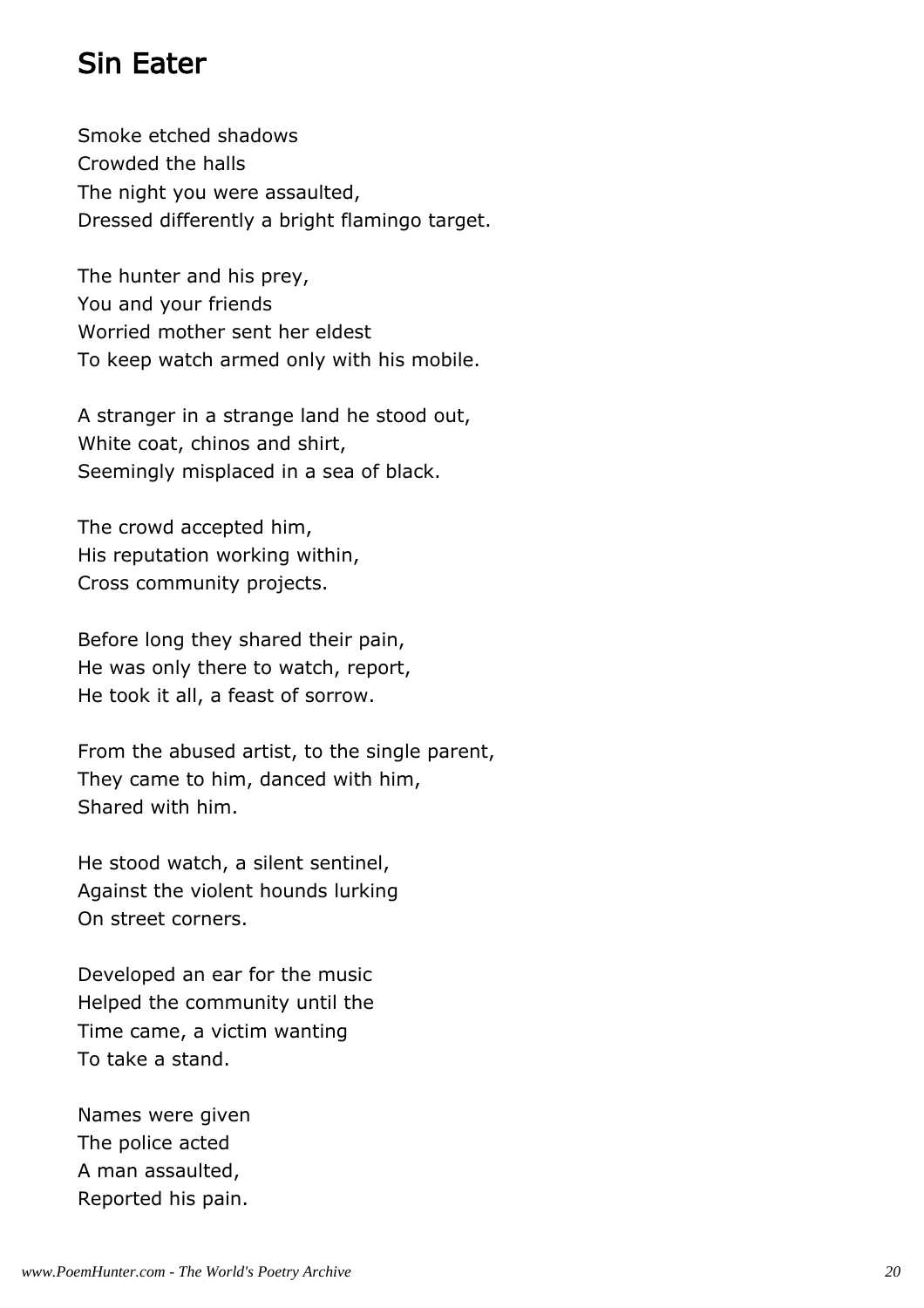### Sin Eater

Smoke etched shadows Crowded the halls The night you were assaulted, Dressed differently a bright flamingo target.

The hunter and his prey, You and your friends Worried mother sent her eldest To keep watch armed only with his mobile.

A stranger in a strange land he stood out, White coat, chinos and shirt, Seemingly misplaced in a sea of black.

The crowd accepted him, His reputation working within, Cross community projects.

Before long they shared their pain, He was only there to watch, report, He took it all, a feast of sorrow.

From the abused artist, to the single parent, They came to him, danced with him, Shared with him.

He stood watch, a silent sentinel, Against the violent hounds lurking On street corners.

Developed an ear for the music Helped the community until the Time came, a victim wanting To take a stand.

Names were given The police acted A man assaulted, Reported his pain.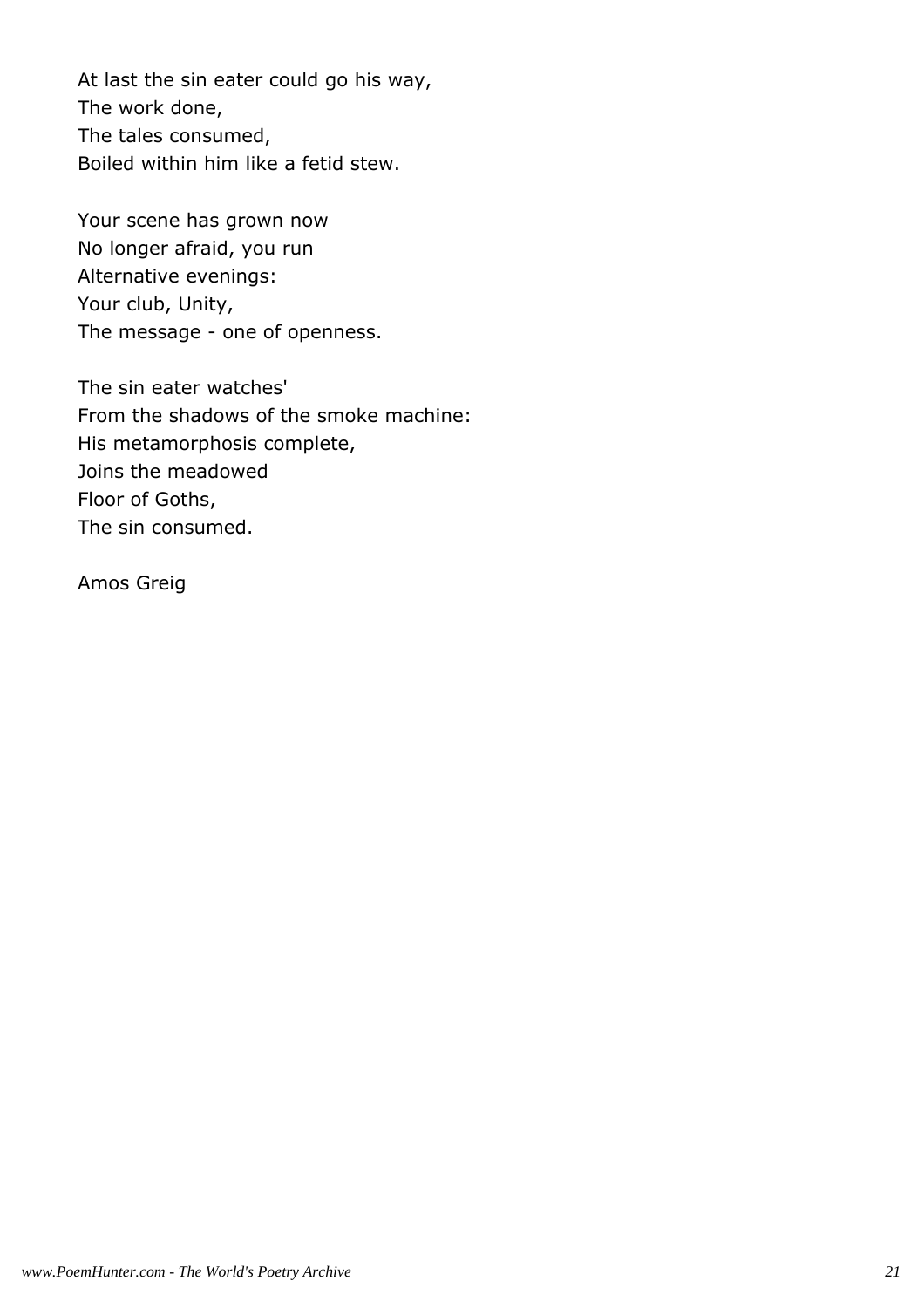At last the sin eater could go his way, The work done, The tales consumed, Boiled within him like a fetid stew.

Your scene has grown now No longer afraid, you run Alternative evenings: Your club, Unity, The message - one of openness.

The sin eater watches' From the shadows of the smoke machine: His metamorphosis complete, Joins the meadowed Floor of Goths, The sin consumed.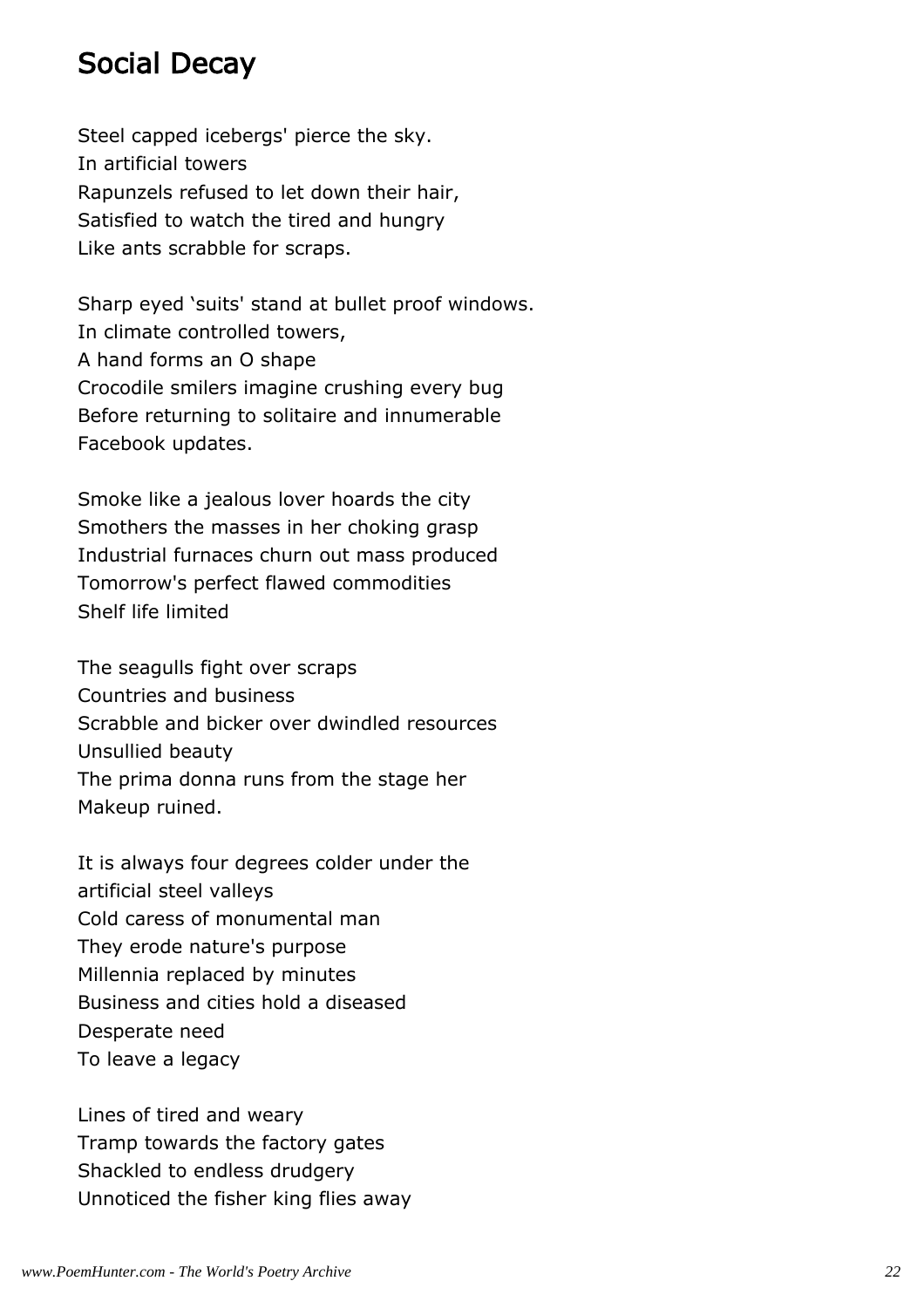#### Social Decay

Steel capped icebergs' pierce the sky. In artificial towers Rapunzels refused to let down their hair, Satisfied to watch the tired and hungry Like ants scrabble for scraps.

Sharp eyed 'suits' stand at bullet proof windows. In climate controlled towers, A hand forms an O shape Crocodile smilers imagine crushing every bug Before returning to solitaire and innumerable Facebook updates.

Smoke like a jealous lover hoards the city Smothers the masses in her choking grasp Industrial furnaces churn out mass produced Tomorrow's perfect flawed commodities Shelf life limited

The seagulls fight over scraps Countries and business Scrabble and bicker over dwindled resources Unsullied beauty The prima donna runs from the stage her Makeup ruined.

It is always four degrees colder under the artificial steel valleys Cold caress of monumental man They erode nature's purpose Millennia replaced by minutes Business and cities hold a diseased Desperate need To leave a legacy

Lines of tired and weary Tramp towards the factory gates Shackled to endless drudgery Unnoticed the fisher king flies away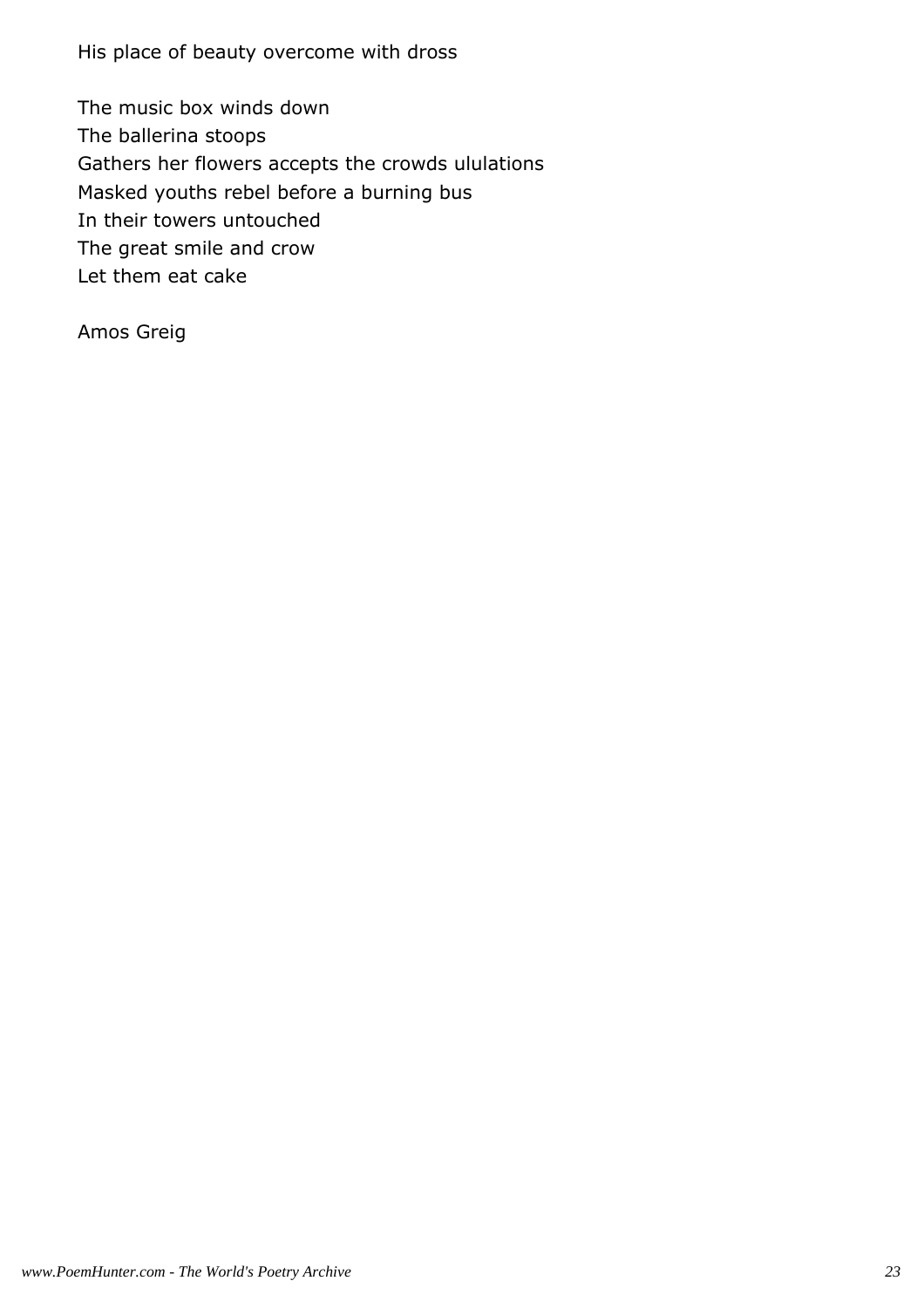His place of beauty overcome with dross

The music box winds down The ballerina stoops Gathers her flowers accepts the crowds ululations Masked youths rebel before a burning bus In their towers untouched The great smile and crow Let them eat cake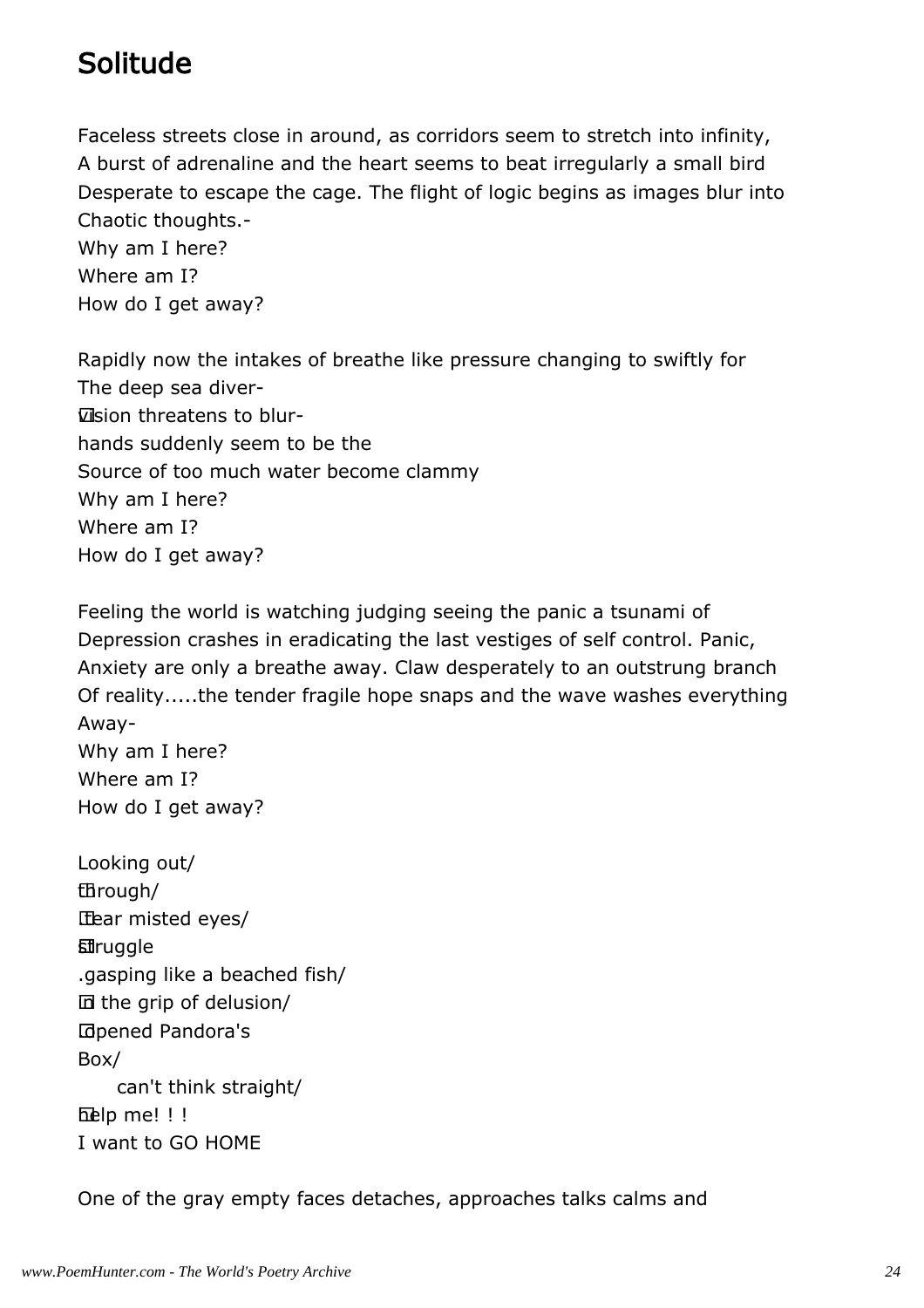# Solitude

Faceless streets close in around, as corridors seem to stretch into infinity, A burst of adrenaline and the heart seems to beat irregularly a small bird Desperate to escape the cage. The flight of logic begins as images blur into Chaotic thoughts.-

Why am I here? Where am I? How do I get away?

Rapidly now the intakes of breathe like pressure changing to swiftly for The deep sea diver vision threatens to blurhands suddenly seem to be the Source of too much water become clammy Why am I here? Where am I? How do I get away?

Feeling the world is watching judging seeing the panic a tsunami of Depression crashes in eradicating the last vestiges of self control. Panic, Anxiety are only a breathe away. Claw desperately to an outstrung branch Of reality.....the tender fragile hope snaps and the wave washes everything Away-Why am I here? Where am I?

```
Looking out/
	through/
	.tear misted eyes/
	struggle
.gasping like a beached fish/
	in the grip of delusion/
	.opened Pandora's
Box/
     can't think straight/
help me! !!
I want to GO HOME
```
How do I get away?

One of the gray empty faces detaches, approaches talks calms and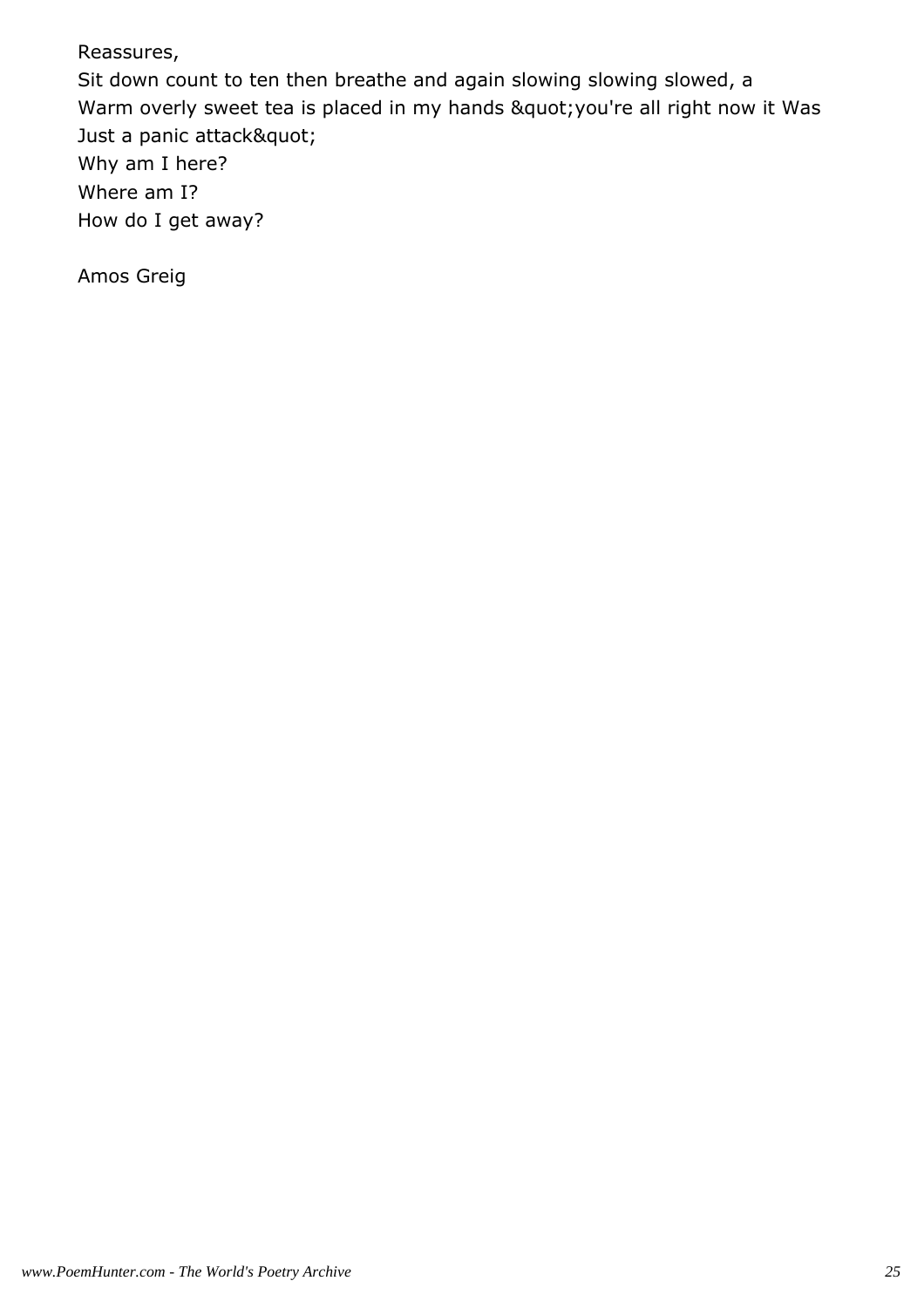Reassures,

Sit down count to ten then breathe and again slowing slowing slowed, a Warm overly sweet tea is placed in my hands " you're all right now it Was Just a panic attack" Why am I here? Where am I? How do I get away?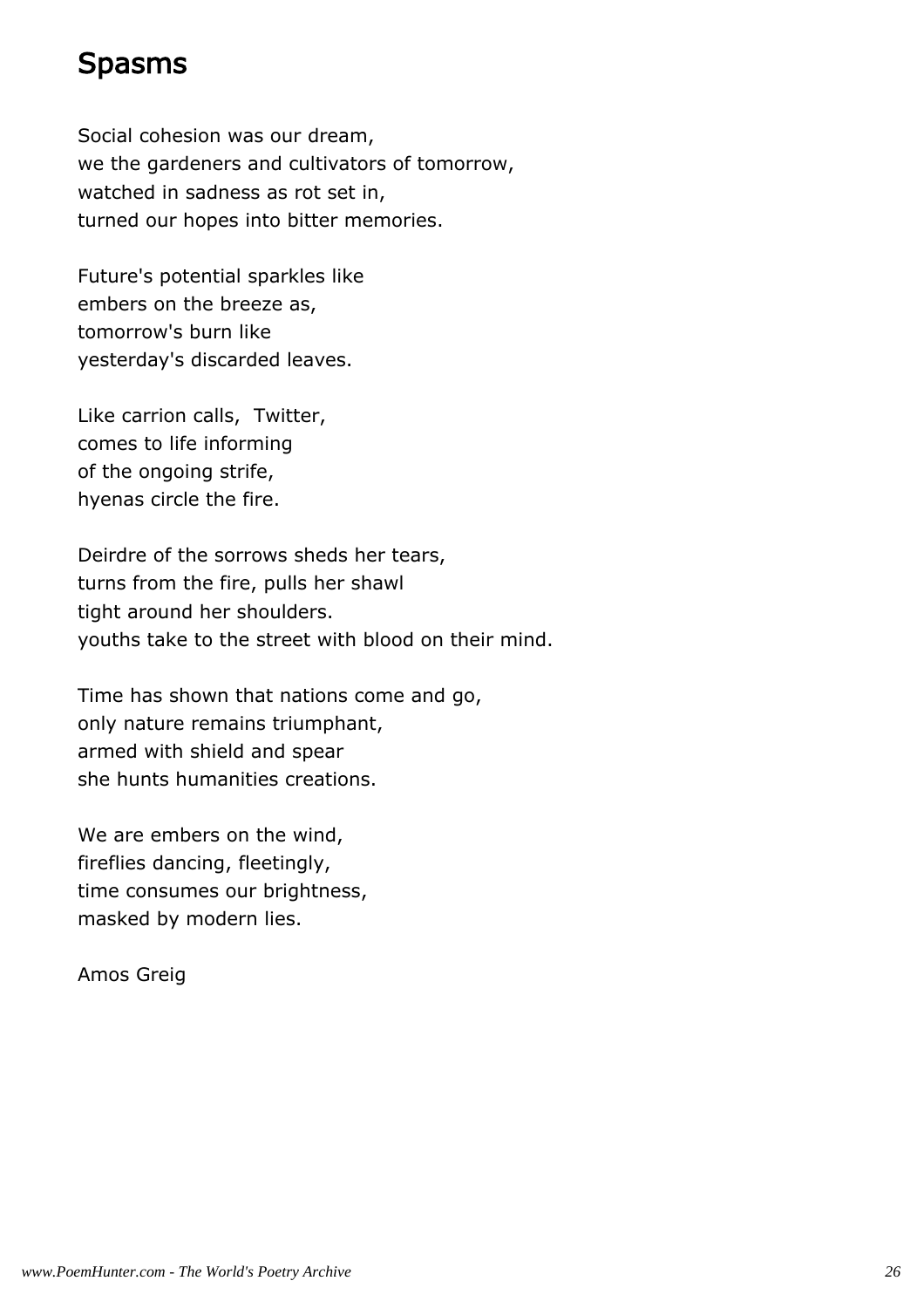#### Spasms

Social cohesion was our dream, we the gardeners and cultivators of tomorrow, watched in sadness as rot set in, turned our hopes into bitter memories.

Future's potential sparkles like embers on the breeze as, tomorrow's burn like yesterday's discarded leaves.

Like carrion calls, Twitter, comes to life informing of the ongoing strife, hyenas circle the fire.

Deirdre of the sorrows sheds her tears, turns from the fire, pulls her shawl tight around her shoulders. youths take to the street with blood on their mind.

Time has shown that nations come and go, only nature remains triumphant, armed with shield and spear she hunts humanities creations.

We are embers on the wind, fireflies dancing, fleetingly, time consumes our brightness, masked by modern lies.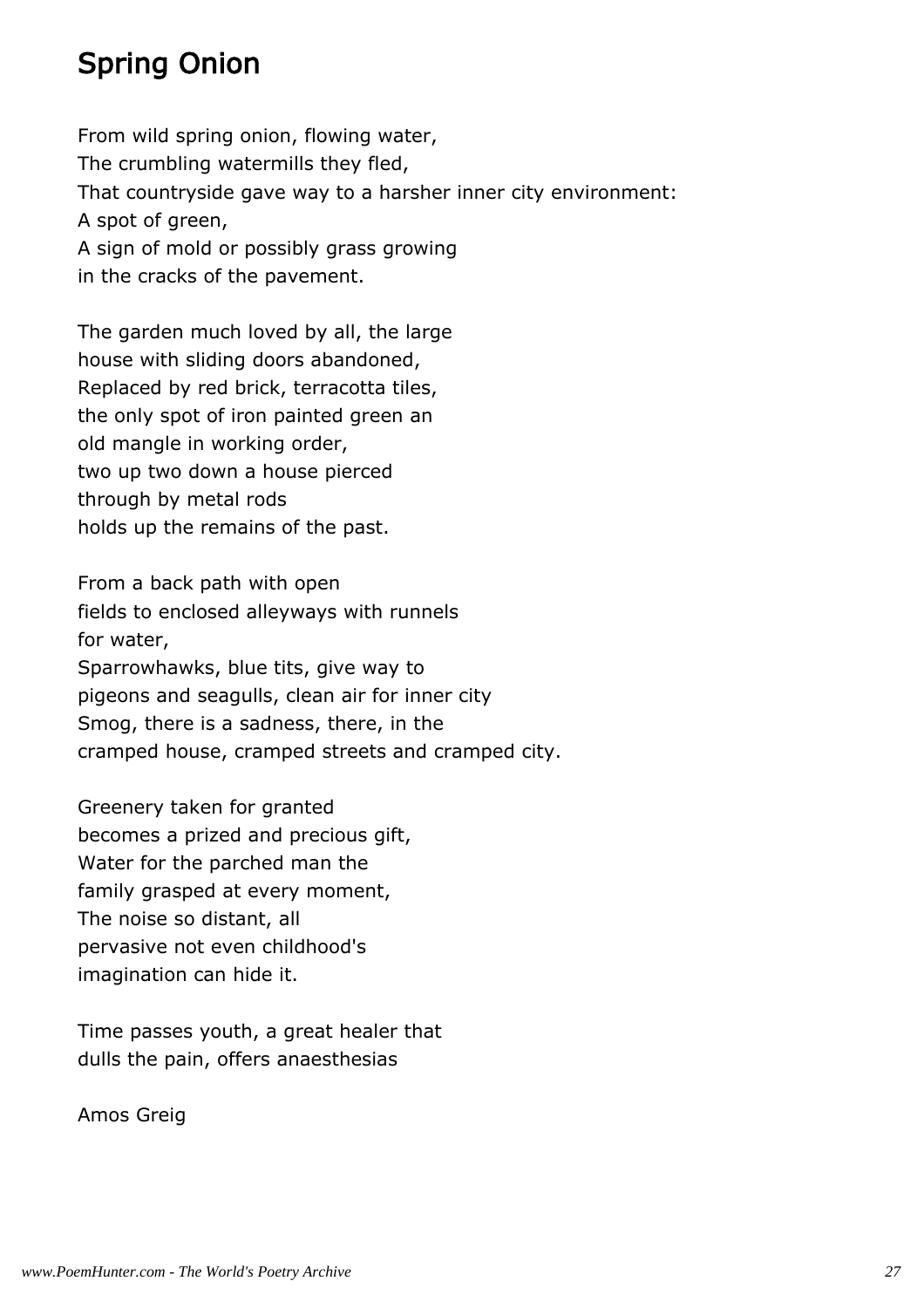# Spring Onion

From wild spring onion, flowing water, The crumbling watermills they fled, That countryside gave way to a harsher inner city environment: A spot of green, A sign of mold or possibly grass growing in the cracks of the pavement.

The garden much loved by all, the large house with sliding doors abandoned, Replaced by red brick, terracotta tiles, the only spot of iron painted green an old mangle in working order, two up two down a house pierced through by metal rods holds up the remains of the past.

From a back path with open fields to enclosed alleyways with runnels for water, Sparrowhawks, blue tits, give way to pigeons and seagulls, clean air for inner city Smog, there is a sadness, there, in the cramped house, cramped streets and cramped city.

Greenery taken for granted becomes a prized and precious gift, Water for the parched man the family grasped at every moment, The noise so distant, all pervasive not even childhood's imagination can hide it.

Time passes youth, a great healer that dulls the pain, offers anaesthesias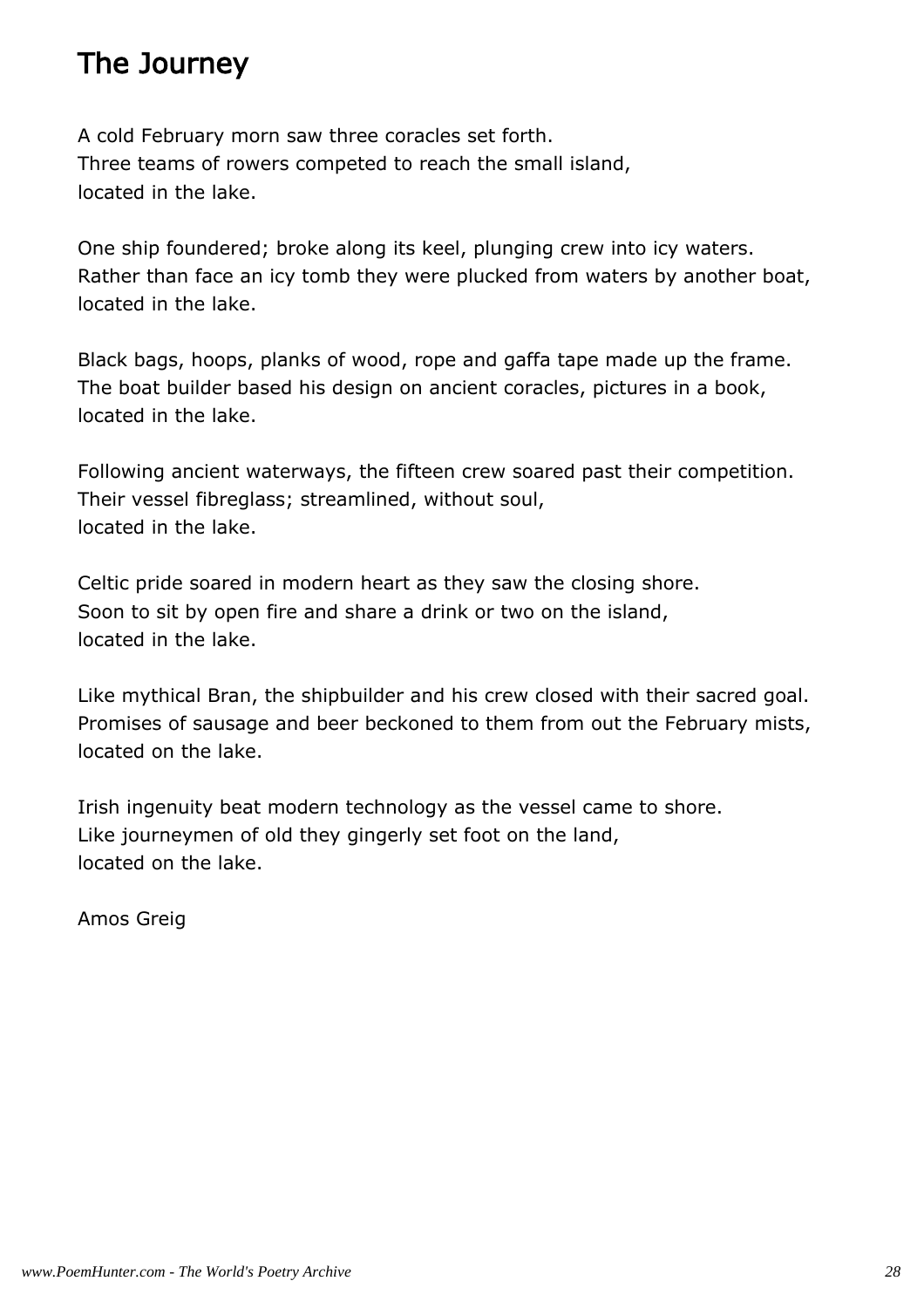# The Journey

A cold February morn saw three coracles set forth. Three teams of rowers competed to reach the small island, located in the lake.

One ship foundered; broke along its keel, plunging crew into icy waters. Rather than face an icy tomb they were plucked from waters by another boat, located in the lake.

Black bags, hoops, planks of wood, rope and gaffa tape made up the frame. The boat builder based his design on ancient coracles, pictures in a book, located in the lake.

Following ancient waterways, the fifteen crew soared past their competition. Their vessel fibreglass; streamlined, without soul, located in the lake.

Celtic pride soared in modern heart as they saw the closing shore. Soon to sit by open fire and share a drink or two on the island, located in the lake.

Like mythical Bran, the shipbuilder and his crew closed with their sacred goal. Promises of sausage and beer beckoned to them from out the February mists, located on the lake.

Irish ingenuity beat modern technology as the vessel came to shore. Like journeymen of old they gingerly set foot on the land, located on the lake.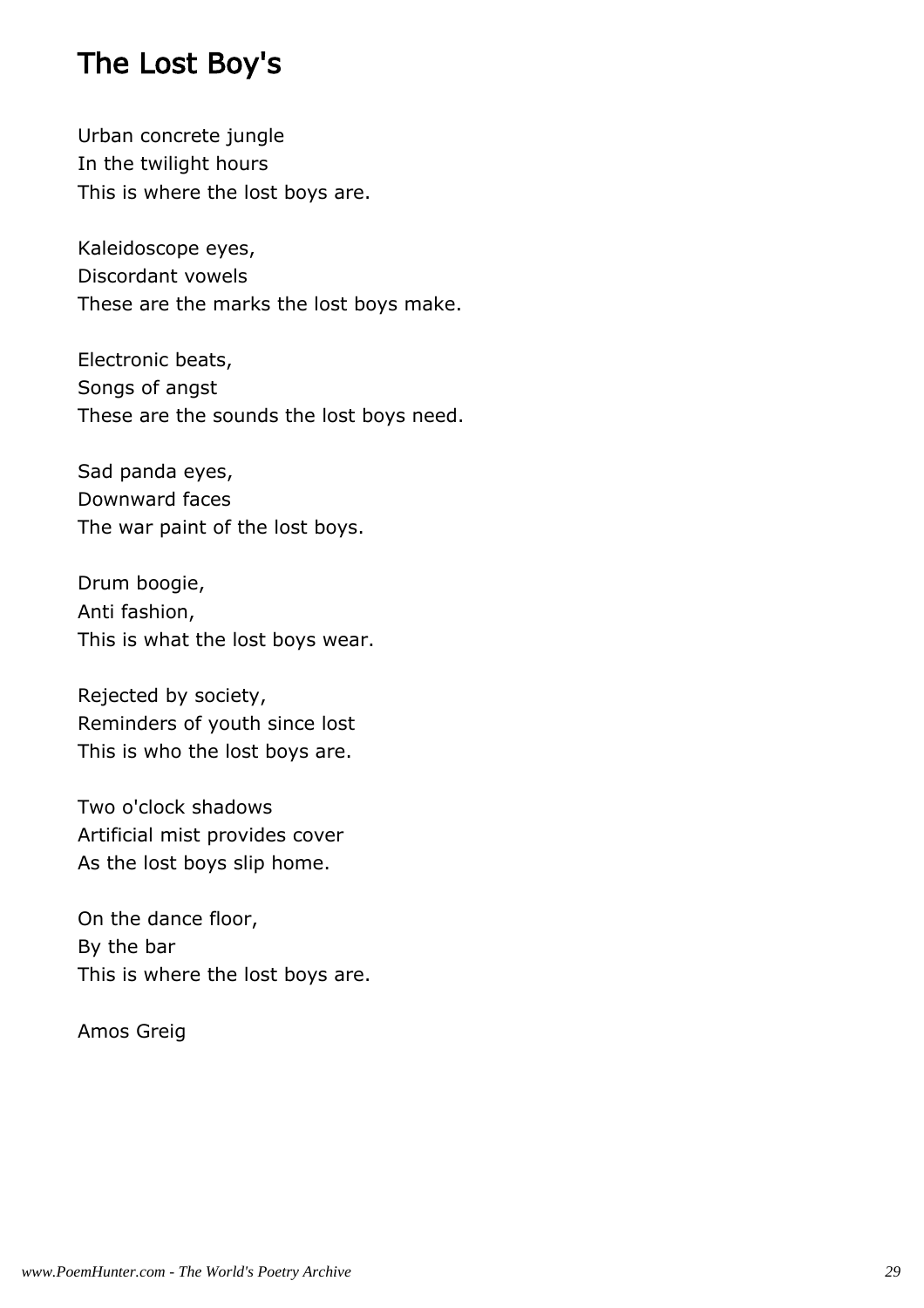#### The Lost Boy's

Urban concrete jungle In the twilight hours This is where the lost boys are.

Kaleidoscope eyes, Discordant vowels These are the marks the lost boys make.

Electronic beats, Songs of angst These are the sounds the lost boys need.

Sad panda eyes, Downward faces The war paint of the lost boys.

Drum boogie, Anti fashion, This is what the lost boys wear.

Rejected by society, Reminders of youth since lost This is who the lost boys are.

Two o'clock shadows Artificial mist provides cover As the lost boys slip home.

On the dance floor, By the bar This is where the lost boys are.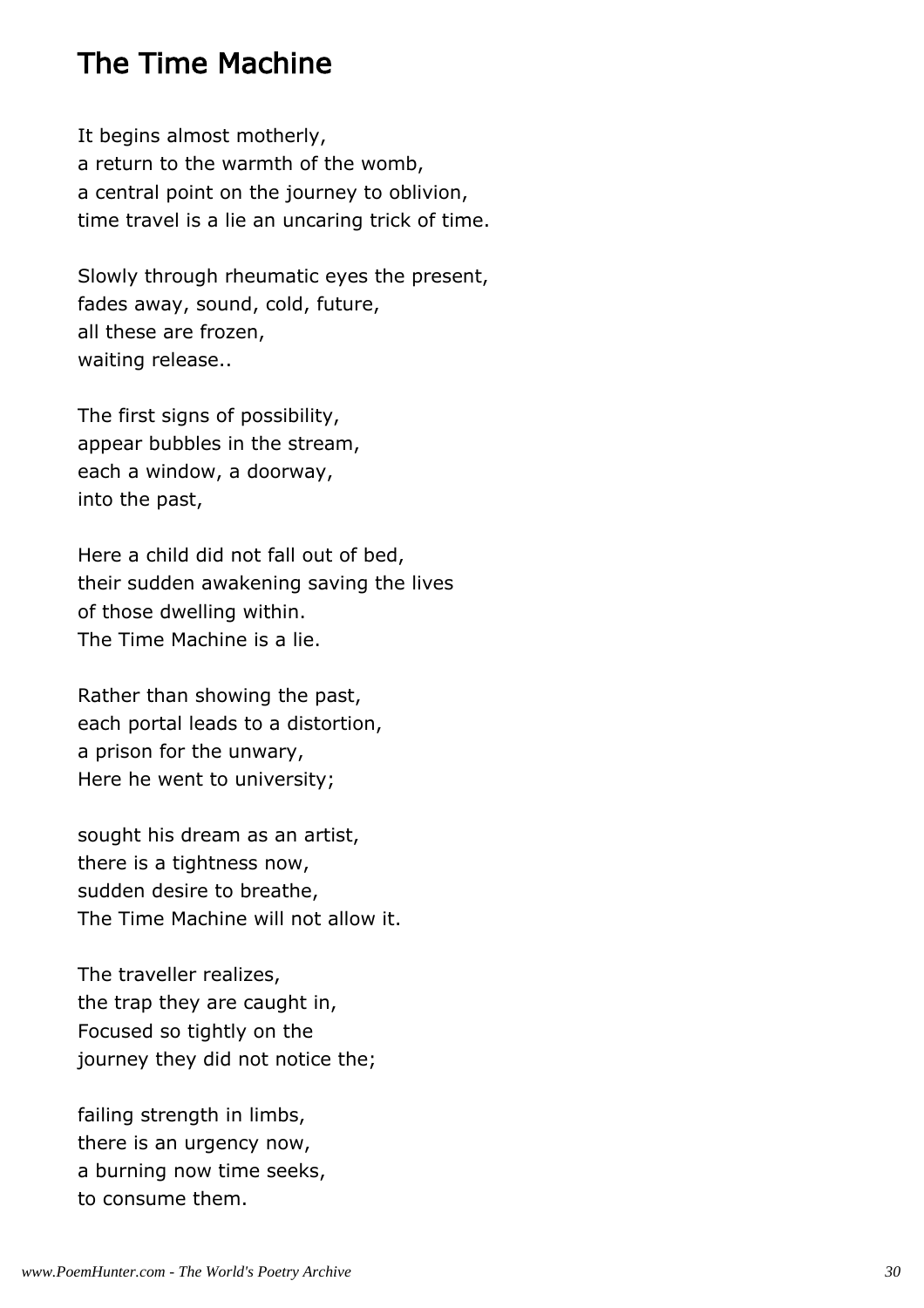#### The Time Machine

It begins almost motherly, a return to the warmth of the womb, a central point on the journey to oblivion, time travel is a lie an uncaring trick of time.

Slowly through rheumatic eyes the present, fades away, sound, cold, future, all these are frozen, waiting release..

The first signs of possibility, appear bubbles in the stream, each a window, a doorway, into the past,

Here a child did not fall out of bed, their sudden awakening saving the lives of those dwelling within. The Time Machine is a lie.

Rather than showing the past, each portal leads to a distortion, a prison for the unwary, Here he went to university;

sought his dream as an artist, there is a tightness now, sudden desire to breathe, The Time Machine will not allow it.

The traveller realizes, the trap they are caught in, Focused so tightly on the journey they did not notice the;

failing strength in limbs, there is an urgency now, a burning now time seeks, to consume them.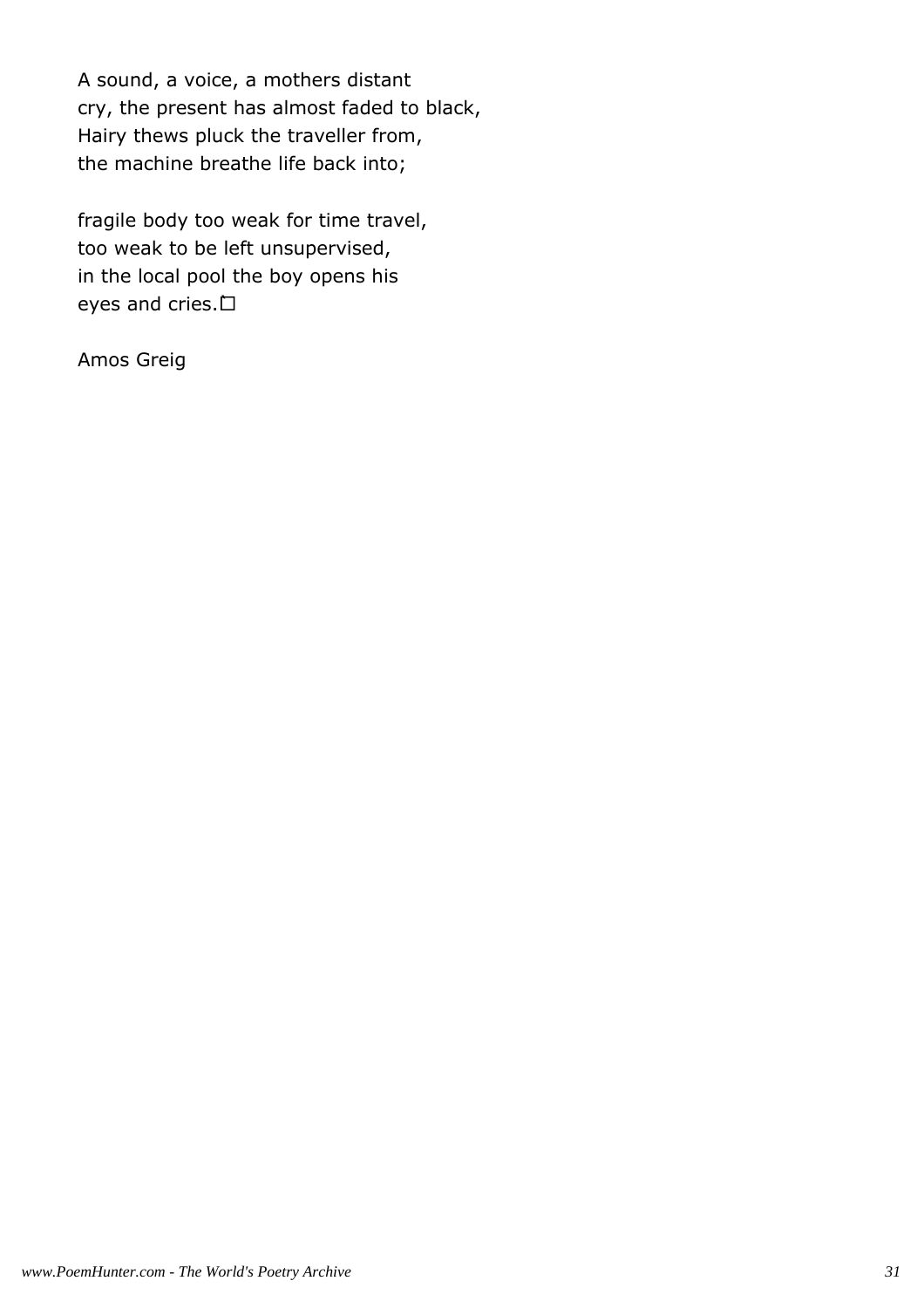A sound, a voice, a mothers distant cry, the present has almost faded to black, Hairy thews pluck the traveller from, the machine breathe life back into;

fragile body too weak for time travel, too weak to be left unsupervised, in the local pool the boy opens his eyes and cries. `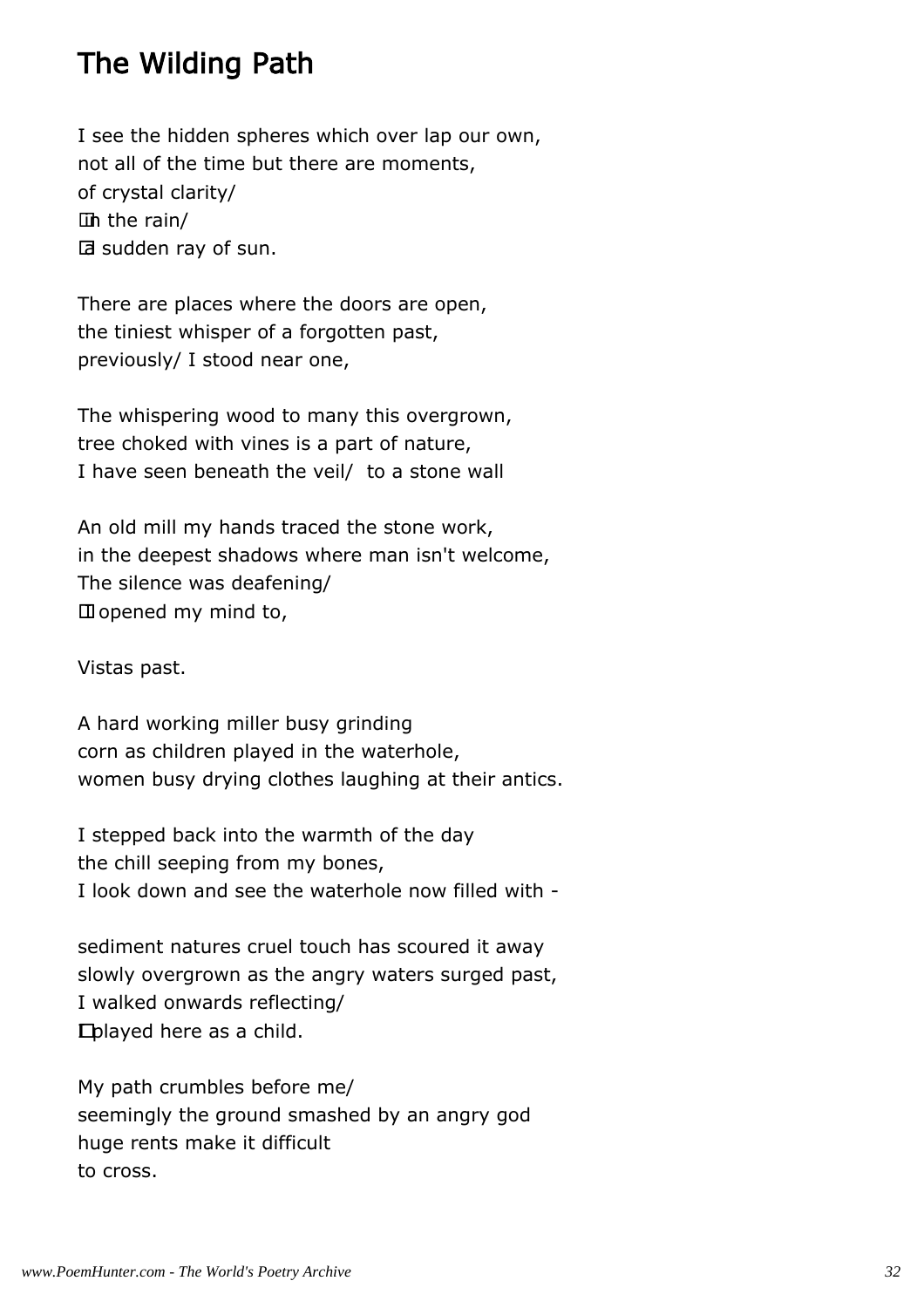### The Wilding Path

I see the hidden spheres which over lap our own, not all of the time but there are moments, of crystal clarity/ in the rain/ a sudden ray of sun.

There are places where the doors are open, the tiniest whisper of a forgotten past, previously/ I stood near one,

The whispering wood to many this overgrown, tree choked with vines is a part of nature, I have seen beneath the veil/ to a stone wall

An old mill my hands traced the stone work, in the deepest shadows where man isn't welcome, The silence was deafening/ I opened my mind to,

Vistas past.

A hard working miller busy grinding corn as children played in the waterhole, women busy drying clothes laughing at their antics.

I stepped back into the warmth of the day the chill seeping from my bones, I look down and see the waterhole now filled with -

sediment natures cruel touch has scoured it away slowly overgrown as the angry waters surged past, I walked onwards reflecting/ I played here as a child.

My path crumbles before me/ seemingly the ground smashed by an angry god huge rents make it difficult to cross.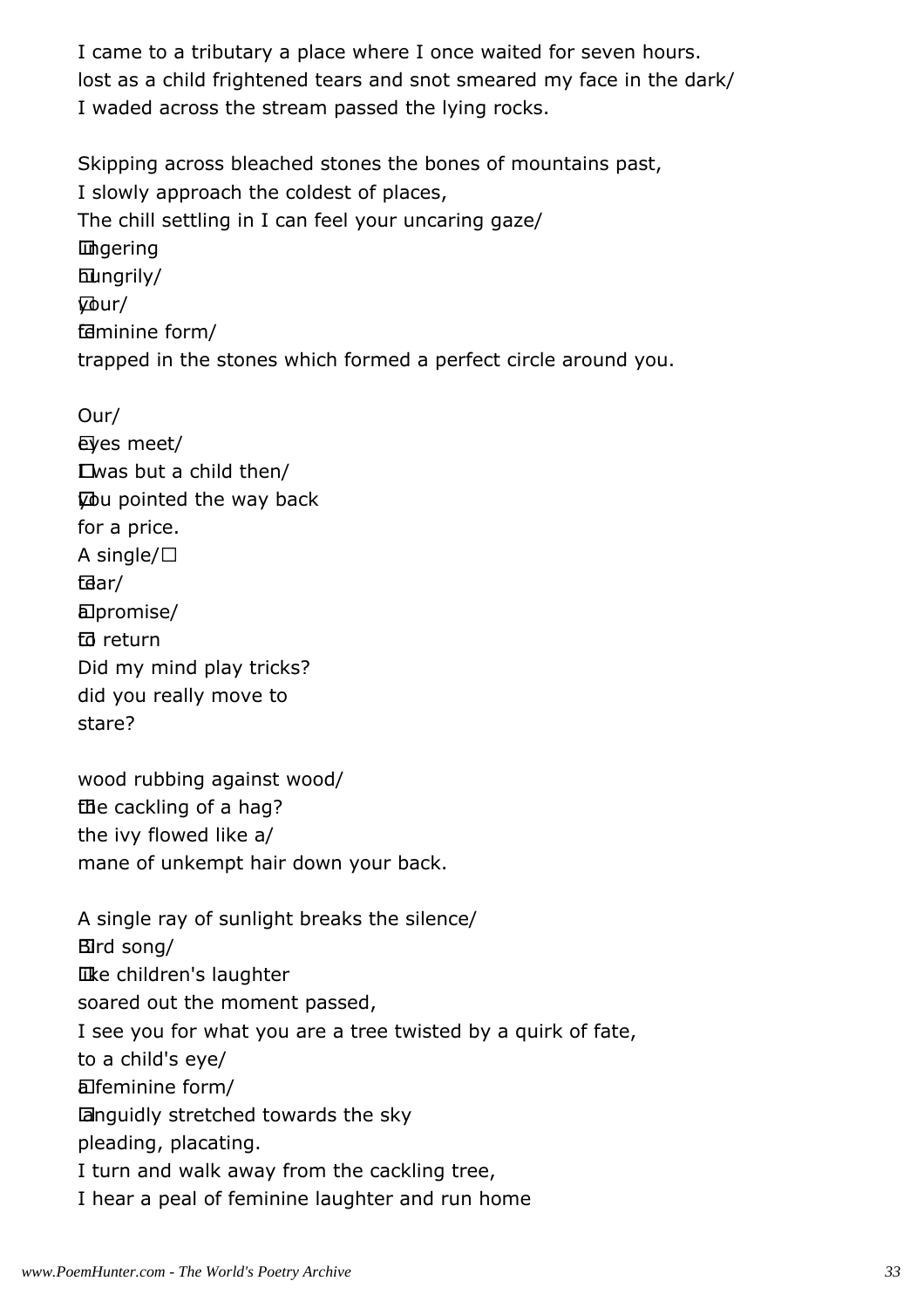I came to a tributary a place where I once waited for seven hours. lost as a child frightened tears and snot smeared my face in the dark/ I waded across the stream passed the lying rocks.

Skipping across bleached stones the bones of mountains past, I slowly approach the coldest of places, The chill settling in I can feel your uncaring gaze/ lingering hungrily/ your/ feminine form/ trapped in the stones which formed a perfect circle around you.

 eyes meet/ I was but a child then/ you pointed the way back for a price. A single/ tear/ a promise/ to return Did my mind play tricks? did you really move to stare? wood rubbing against wood/ the cackling of a hag? the ivy flowed like a/ mane of unkempt hair down your back. A single ray of sunlight breaks the silence/ Bird song/ like children's laughter soared out the moment passed, I see you for what you are a tree twisted by a quirk of fate, to a child's eye/ a feminine form/ languidly stretched towards the sky pleading, placating. I turn and walk away from the cackling tree, I hear a peal of feminine laughter and run home

Our/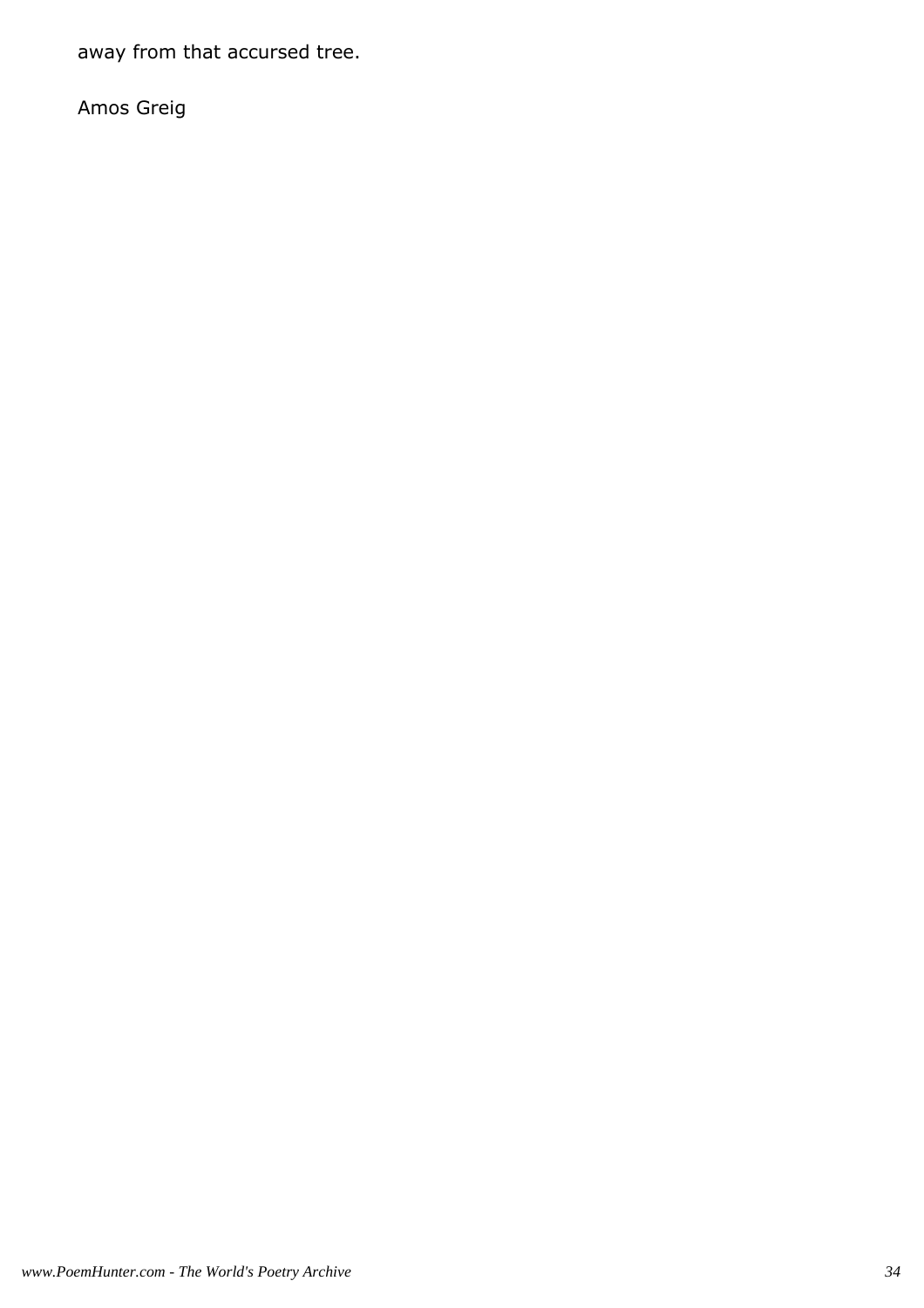away from that accursed tree.